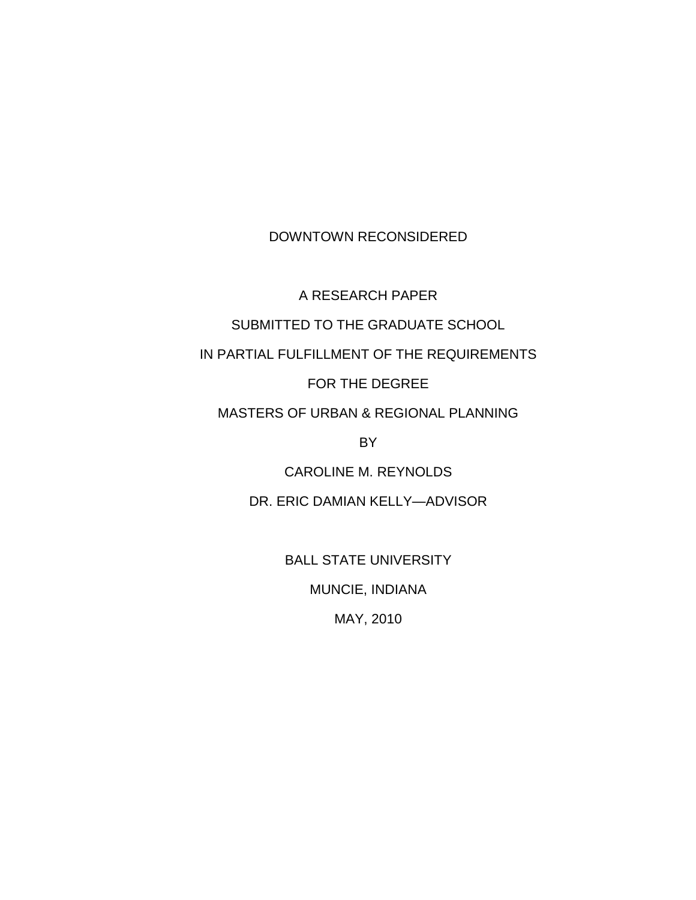DOWNTOWN RECONSIDERED

A RESEARCH PAPER

SUBMITTED TO THE GRADUATE SCHOOL

IN PARTIAL FULFILLMENT OF THE REQUIREMENTS

FOR THE DEGREE

MASTERS OF URBAN & REGIONAL PLANNING

BY

CAROLINE M. REYNOLDS

DR. ERIC DAMIAN KELLY—ADVISOR

BALL STATE UNIVERSITY

MUNCIE, INDIANA

MAY, 2010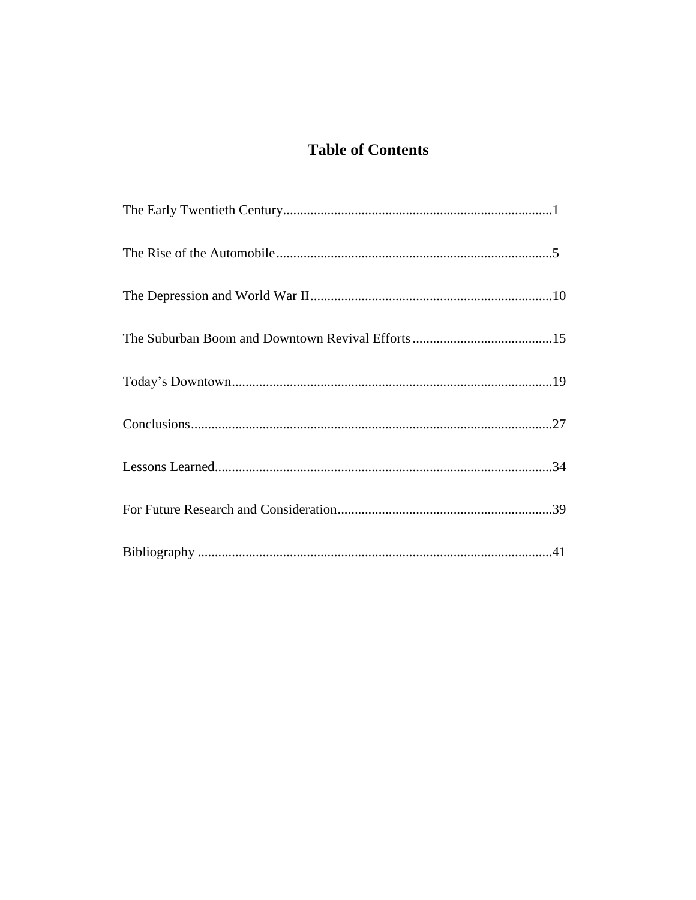# **Table of Contents**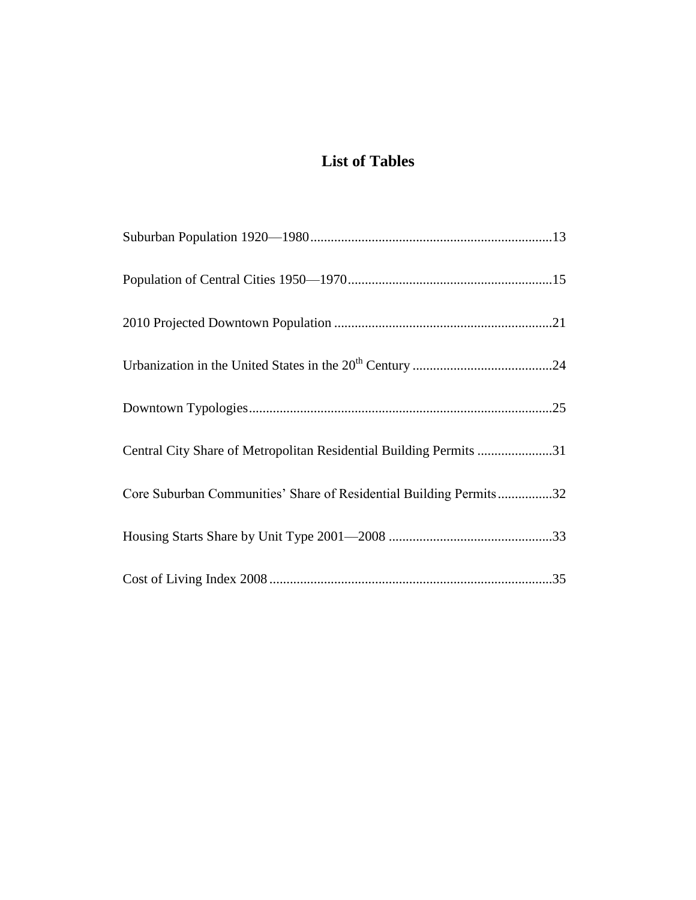# **List of Tables**

| Central City Share of Metropolitan Residential Building Permits 31 |
|--------------------------------------------------------------------|
| Core Suburban Communities' Share of Residential Building Permits32 |
|                                                                    |
|                                                                    |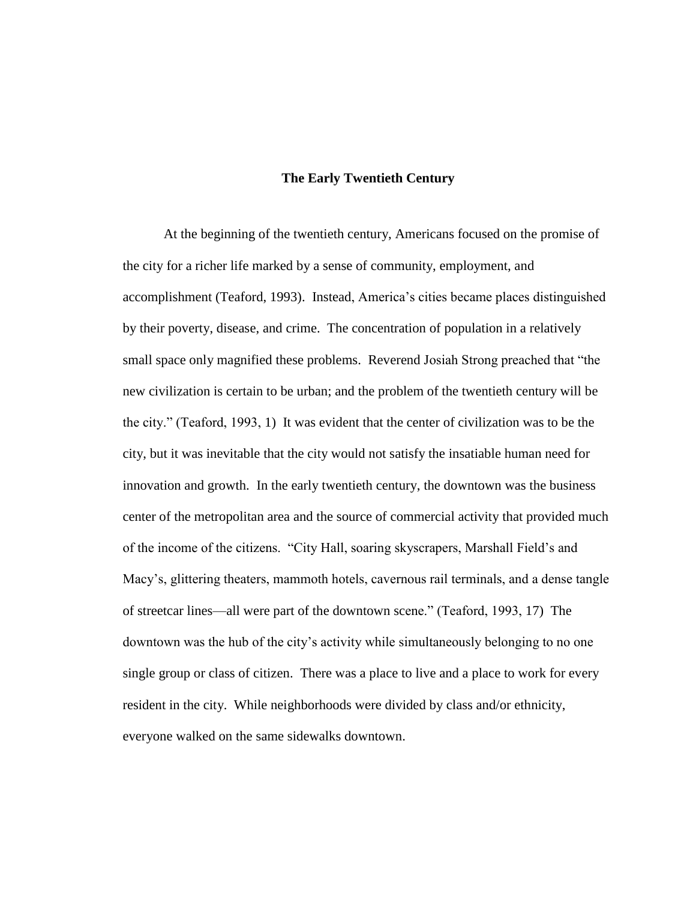### **The Early Twentieth Century**

At the beginning of the twentieth century, Americans focused on the promise of the city for a richer life marked by a sense of community, employment, and accomplishment (Teaford, 1993). Instead, America"s cities became places distinguished by their poverty, disease, and crime. The concentration of population in a relatively small space only magnified these problems. Reverend Josiah Strong preached that "the new civilization is certain to be urban; and the problem of the twentieth century will be the city." (Teaford, 1993, 1) It was evident that the center of civilization was to be the city, but it was inevitable that the city would not satisfy the insatiable human need for innovation and growth. In the early twentieth century, the downtown was the business center of the metropolitan area and the source of commercial activity that provided much of the income of the citizens. "City Hall, soaring skyscrapers, Marshall Field"s and Macy's, glittering theaters, mammoth hotels, cavernous rail terminals, and a dense tangle of streetcar lines—all were part of the downtown scene." (Teaford, 1993, 17) The downtown was the hub of the city"s activity while simultaneously belonging to no one single group or class of citizen. There was a place to live and a place to work for every resident in the city. While neighborhoods were divided by class and/or ethnicity, everyone walked on the same sidewalks downtown.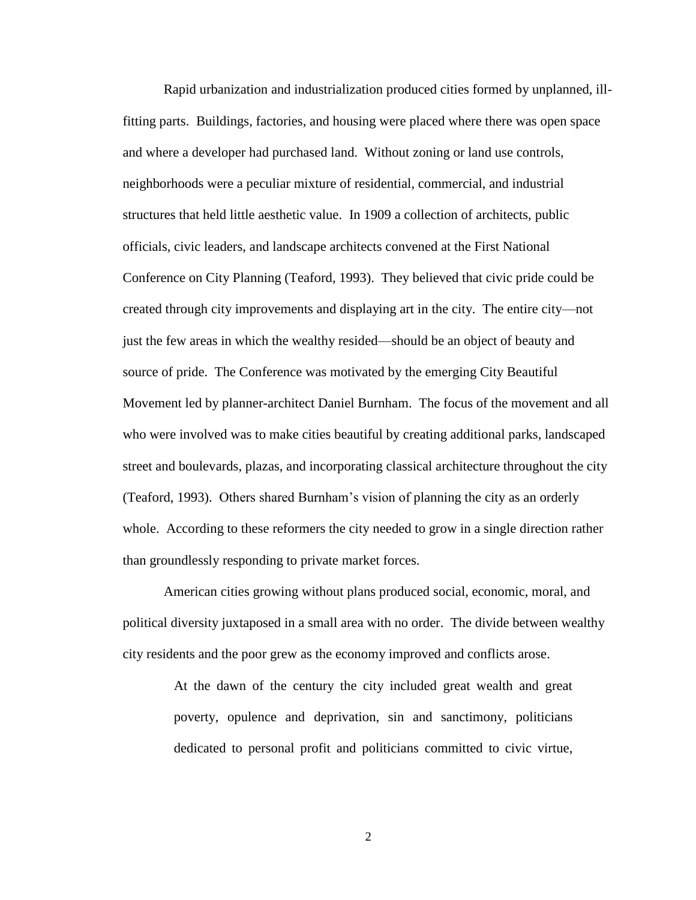Rapid urbanization and industrialization produced cities formed by unplanned, illfitting parts. Buildings, factories, and housing were placed where there was open space and where a developer had purchased land. Without zoning or land use controls, neighborhoods were a peculiar mixture of residential, commercial, and industrial structures that held little aesthetic value. In 1909 a collection of architects, public officials, civic leaders, and landscape architects convened at the First National Conference on City Planning (Teaford, 1993). They believed that civic pride could be created through city improvements and displaying art in the city. The entire city—not just the few areas in which the wealthy resided—should be an object of beauty and source of pride. The Conference was motivated by the emerging City Beautiful Movement led by planner-architect Daniel Burnham. The focus of the movement and all who were involved was to make cities beautiful by creating additional parks, landscaped street and boulevards, plazas, and incorporating classical architecture throughout the city (Teaford, 1993). Others shared Burnham"s vision of planning the city as an orderly whole. According to these reformers the city needed to grow in a single direction rather than groundlessly responding to private market forces.

American cities growing without plans produced social, economic, moral, and political diversity juxtaposed in a small area with no order. The divide between wealthy city residents and the poor grew as the economy improved and conflicts arose.

> At the dawn of the century the city included great wealth and great poverty, opulence and deprivation, sin and sanctimony, politicians dedicated to personal profit and politicians committed to civic virtue,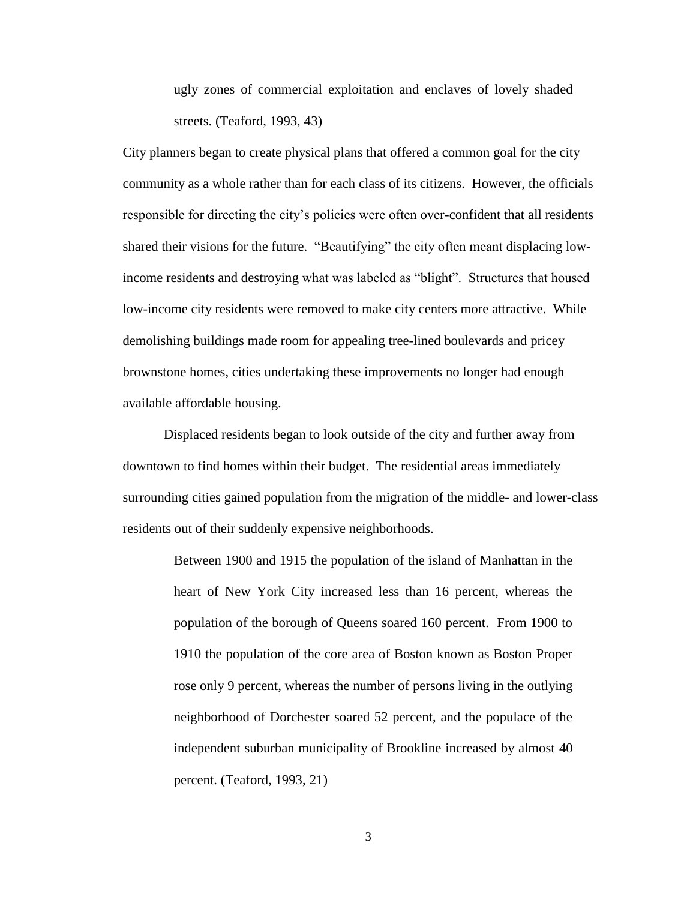ugly zones of commercial exploitation and enclaves of lovely shaded streets. (Teaford, 1993, 43)

City planners began to create physical plans that offered a common goal for the city community as a whole rather than for each class of its citizens. However, the officials responsible for directing the city"s policies were often over-confident that all residents shared their visions for the future. "Beautifying" the city often meant displacing lowincome residents and destroying what was labeled as "blight". Structures that housed low-income city residents were removed to make city centers more attractive. While demolishing buildings made room for appealing tree-lined boulevards and pricey brownstone homes, cities undertaking these improvements no longer had enough available affordable housing.

Displaced residents began to look outside of the city and further away from downtown to find homes within their budget. The residential areas immediately surrounding cities gained population from the migration of the middle- and lower-class residents out of their suddenly expensive neighborhoods.

> Between 1900 and 1915 the population of the island of Manhattan in the heart of New York City increased less than 16 percent, whereas the population of the borough of Queens soared 160 percent. From 1900 to 1910 the population of the core area of Boston known as Boston Proper rose only 9 percent, whereas the number of persons living in the outlying neighborhood of Dorchester soared 52 percent, and the populace of the independent suburban municipality of Brookline increased by almost 40 percent. (Teaford, 1993, 21)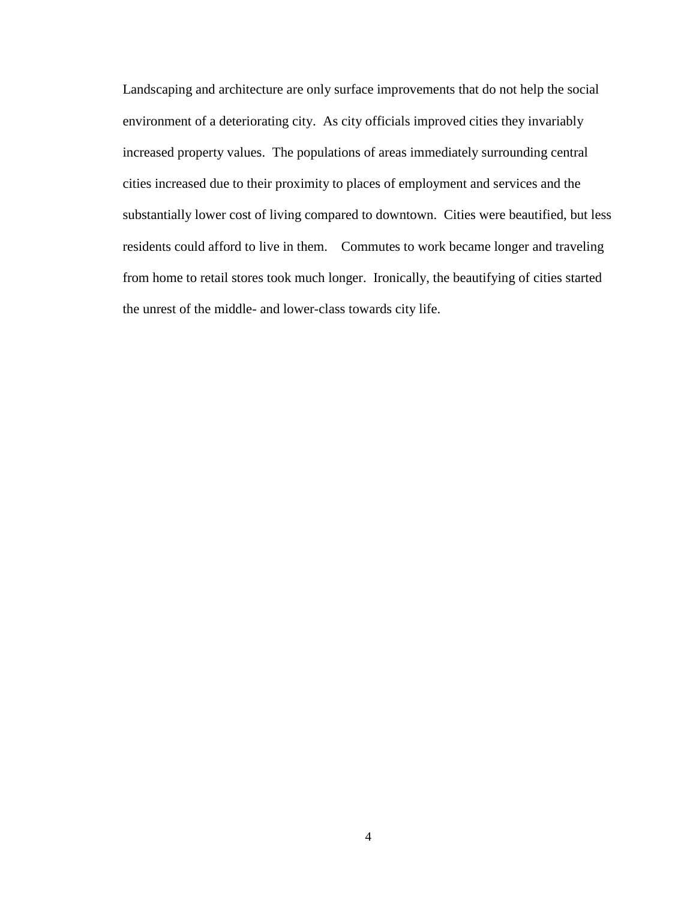Landscaping and architecture are only surface improvements that do not help the social environment of a deteriorating city. As city officials improved cities they invariably increased property values. The populations of areas immediately surrounding central cities increased due to their proximity to places of employment and services and the substantially lower cost of living compared to downtown. Cities were beautified, but less residents could afford to live in them. Commutes to work became longer and traveling from home to retail stores took much longer. Ironically, the beautifying of cities started the unrest of the middle- and lower-class towards city life.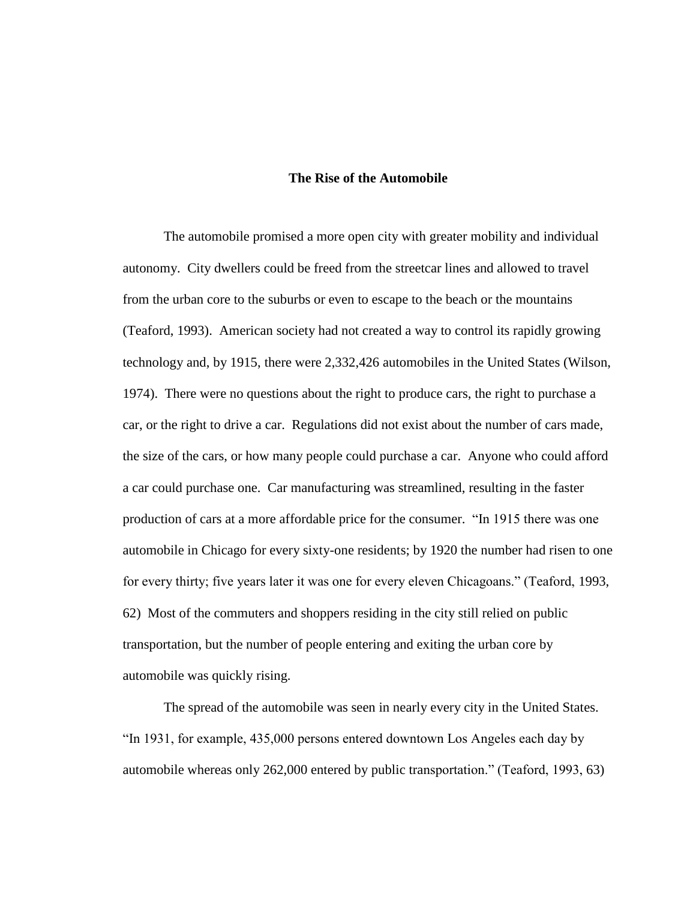#### **The Rise of the Automobile**

The automobile promised a more open city with greater mobility and individual autonomy. City dwellers could be freed from the streetcar lines and allowed to travel from the urban core to the suburbs or even to escape to the beach or the mountains (Teaford, 1993). American society had not created a way to control its rapidly growing technology and, by 1915, there were 2,332,426 automobiles in the United States (Wilson, 1974). There were no questions about the right to produce cars, the right to purchase a car, or the right to drive a car. Regulations did not exist about the number of cars made, the size of the cars, or how many people could purchase a car. Anyone who could afford a car could purchase one. Car manufacturing was streamlined, resulting in the faster production of cars at a more affordable price for the consumer. "In 1915 there was one automobile in Chicago for every sixty-one residents; by 1920 the number had risen to one for every thirty; five years later it was one for every eleven Chicagoans." (Teaford, 1993, 62) Most of the commuters and shoppers residing in the city still relied on public transportation, but the number of people entering and exiting the urban core by automobile was quickly rising.

The spread of the automobile was seen in nearly every city in the United States. "In 1931, for example, 435,000 persons entered downtown Los Angeles each day by automobile whereas only 262,000 entered by public transportation." (Teaford, 1993, 63)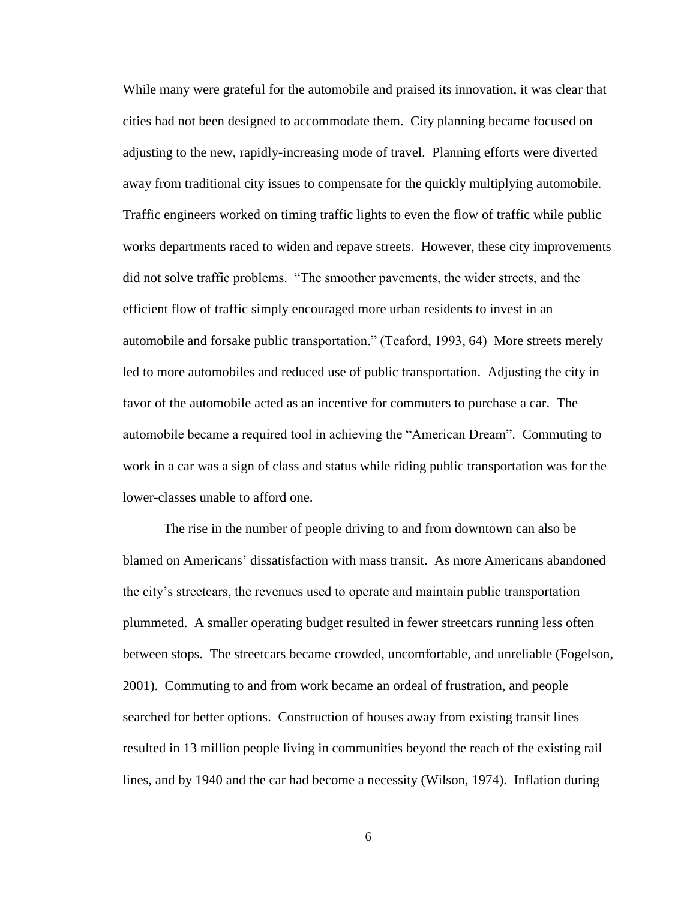While many were grateful for the automobile and praised its innovation, it was clear that cities had not been designed to accommodate them. City planning became focused on adjusting to the new, rapidly-increasing mode of travel. Planning efforts were diverted away from traditional city issues to compensate for the quickly multiplying automobile. Traffic engineers worked on timing traffic lights to even the flow of traffic while public works departments raced to widen and repave streets. However, these city improvements did not solve traffic problems. "The smoother pavements, the wider streets, and the efficient flow of traffic simply encouraged more urban residents to invest in an automobile and forsake public transportation." (Teaford, 1993, 64) More streets merely led to more automobiles and reduced use of public transportation. Adjusting the city in favor of the automobile acted as an incentive for commuters to purchase a car. The automobile became a required tool in achieving the "American Dream". Commuting to work in a car was a sign of class and status while riding public transportation was for the lower-classes unable to afford one.

The rise in the number of people driving to and from downtown can also be blamed on Americans" dissatisfaction with mass transit. As more Americans abandoned the city"s streetcars, the revenues used to operate and maintain public transportation plummeted. A smaller operating budget resulted in fewer streetcars running less often between stops. The streetcars became crowded, uncomfortable, and unreliable (Fogelson, 2001). Commuting to and from work became an ordeal of frustration, and people searched for better options. Construction of houses away from existing transit lines resulted in 13 million people living in communities beyond the reach of the existing rail lines, and by 1940 and the car had become a necessity (Wilson, 1974). Inflation during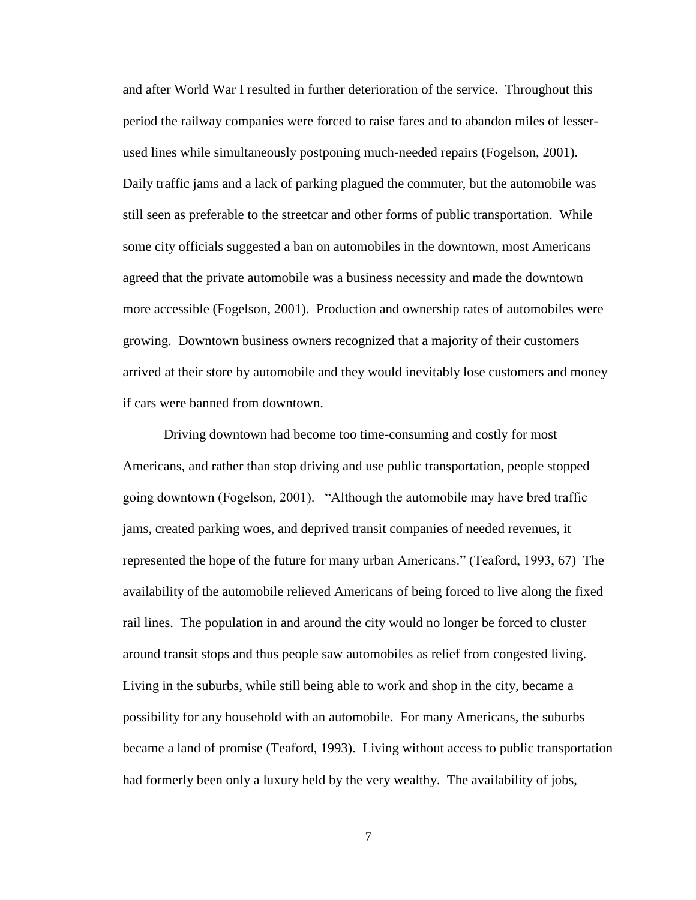and after World War I resulted in further deterioration of the service. Throughout this period the railway companies were forced to raise fares and to abandon miles of lesserused lines while simultaneously postponing much-needed repairs (Fogelson, 2001). Daily traffic jams and a lack of parking plagued the commuter, but the automobile was still seen as preferable to the streetcar and other forms of public transportation. While some city officials suggested a ban on automobiles in the downtown, most Americans agreed that the private automobile was a business necessity and made the downtown more accessible (Fogelson, 2001). Production and ownership rates of automobiles were growing. Downtown business owners recognized that a majority of their customers arrived at their store by automobile and they would inevitably lose customers and money if cars were banned from downtown.

Driving downtown had become too time-consuming and costly for most Americans, and rather than stop driving and use public transportation, people stopped going downtown (Fogelson, 2001). "Although the automobile may have bred traffic jams, created parking woes, and deprived transit companies of needed revenues, it represented the hope of the future for many urban Americans." (Teaford, 1993, 67) The availability of the automobile relieved Americans of being forced to live along the fixed rail lines. The population in and around the city would no longer be forced to cluster around transit stops and thus people saw automobiles as relief from congested living. Living in the suburbs, while still being able to work and shop in the city, became a possibility for any household with an automobile. For many Americans, the suburbs became a land of promise (Teaford, 1993). Living without access to public transportation had formerly been only a luxury held by the very wealthy. The availability of jobs,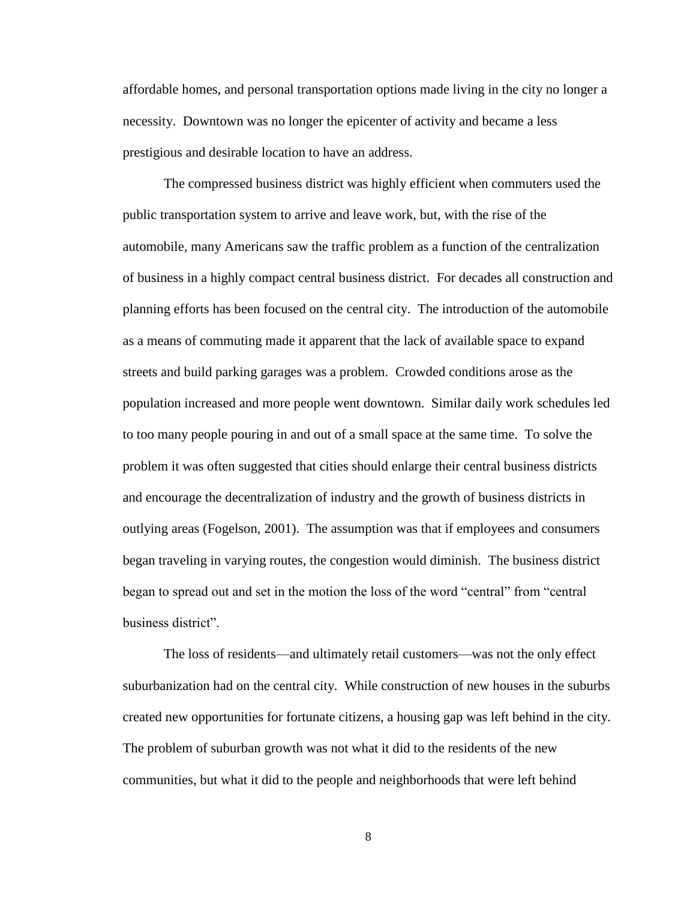affordable homes, and personal transportation options made living in the city no longer a necessity. Downtown was no longer the epicenter of activity and became a less prestigious and desirable location to have an address.

The compressed business district was highly efficient when commuters used the public transportation system to arrive and leave work, but, with the rise of the automobile, many Americans saw the traffic problem as a function of the centralization of business in a highly compact central business district. For decades all construction and planning efforts has been focused on the central city. The introduction of the automobile as a means of commuting made it apparent that the lack of available space to expand streets and build parking garages was a problem. Crowded conditions arose as the population increased and more people went downtown. Similar daily work schedules led to too many people pouring in and out of a small space at the same time. To solve the problem it was often suggested that cities should enlarge their central business districts and encourage the decentralization of industry and the growth of business districts in outlying areas (Fogelson, 2001). The assumption was that if employees and consumers began traveling in varying routes, the congestion would diminish. The business district began to spread out and set in the motion the loss of the word "central" from "central business district".

The loss of residents—and ultimately retail customers—was not the only effect suburbanization had on the central city. While construction of new houses in the suburbs created new opportunities for fortunate citizens, a housing gap was left behind in the city. The problem of suburban growth was not what it did to the residents of the new communities, but what it did to the people and neighborhoods that were left behind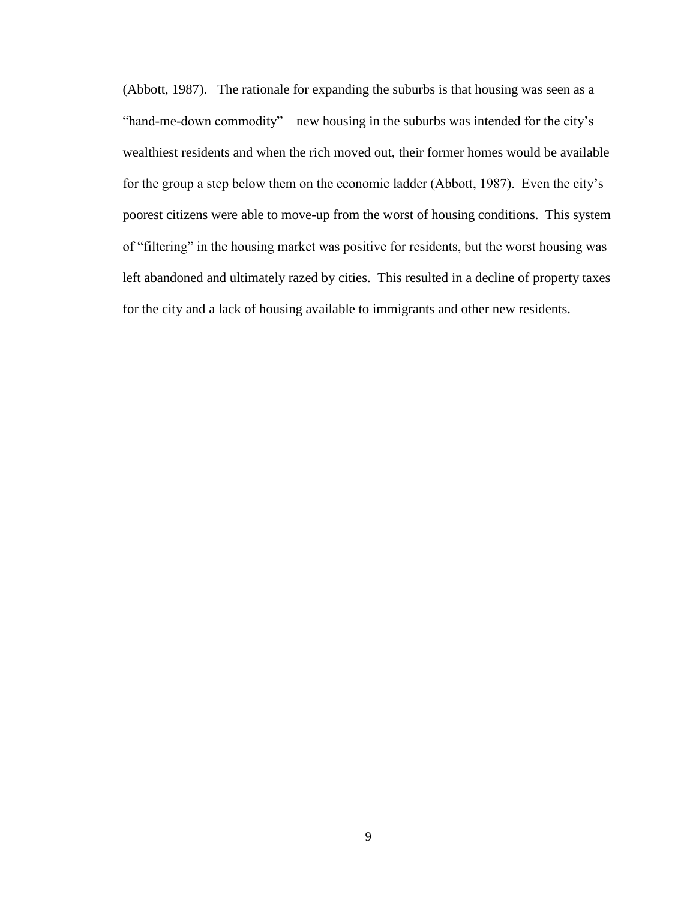(Abbott, 1987). The rationale for expanding the suburbs is that housing was seen as a "hand-me-down commodity"—new housing in the suburbs was intended for the city"s wealthiest residents and when the rich moved out, their former homes would be available for the group a step below them on the economic ladder (Abbott, 1987). Even the city"s poorest citizens were able to move-up from the worst of housing conditions. This system of "filtering" in the housing market was positive for residents, but the worst housing was left abandoned and ultimately razed by cities. This resulted in a decline of property taxes for the city and a lack of housing available to immigrants and other new residents.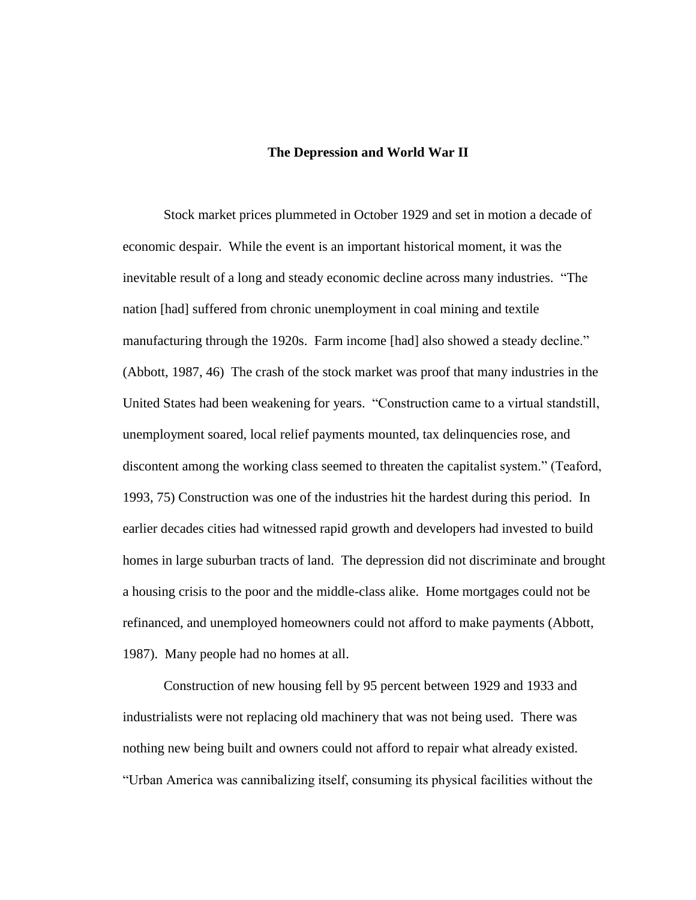#### **The Depression and World War II**

Stock market prices plummeted in October 1929 and set in motion a decade of economic despair. While the event is an important historical moment, it was the inevitable result of a long and steady economic decline across many industries. "The nation [had] suffered from chronic unemployment in coal mining and textile manufacturing through the 1920s. Farm income [had] also showed a steady decline." (Abbott, 1987, 46) The crash of the stock market was proof that many industries in the United States had been weakening for years. "Construction came to a virtual standstill, unemployment soared, local relief payments mounted, tax delinquencies rose, and discontent among the working class seemed to threaten the capitalist system." (Teaford, 1993, 75) Construction was one of the industries hit the hardest during this period. In earlier decades cities had witnessed rapid growth and developers had invested to build homes in large suburban tracts of land. The depression did not discriminate and brought a housing crisis to the poor and the middle-class alike. Home mortgages could not be refinanced, and unemployed homeowners could not afford to make payments (Abbott, 1987). Many people had no homes at all.

Construction of new housing fell by 95 percent between 1929 and 1933 and industrialists were not replacing old machinery that was not being used. There was nothing new being built and owners could not afford to repair what already existed. "Urban America was cannibalizing itself, consuming its physical facilities without the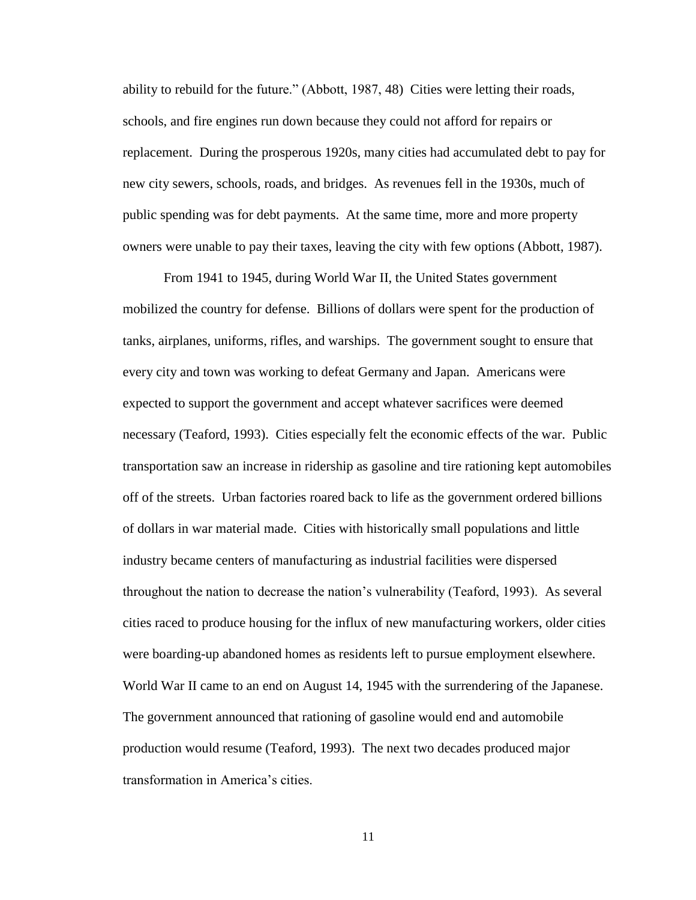ability to rebuild for the future." (Abbott, 1987, 48) Cities were letting their roads, schools, and fire engines run down because they could not afford for repairs or replacement. During the prosperous 1920s, many cities had accumulated debt to pay for new city sewers, schools, roads, and bridges. As revenues fell in the 1930s, much of public spending was for debt payments. At the same time, more and more property owners were unable to pay their taxes, leaving the city with few options (Abbott, 1987).

From 1941 to 1945, during World War II, the United States government mobilized the country for defense. Billions of dollars were spent for the production of tanks, airplanes, uniforms, rifles, and warships. The government sought to ensure that every city and town was working to defeat Germany and Japan. Americans were expected to support the government and accept whatever sacrifices were deemed necessary (Teaford, 1993). Cities especially felt the economic effects of the war. Public transportation saw an increase in ridership as gasoline and tire rationing kept automobiles off of the streets. Urban factories roared back to life as the government ordered billions of dollars in war material made. Cities with historically small populations and little industry became centers of manufacturing as industrial facilities were dispersed throughout the nation to decrease the nation"s vulnerability (Teaford, 1993). As several cities raced to produce housing for the influx of new manufacturing workers, older cities were boarding-up abandoned homes as residents left to pursue employment elsewhere. World War II came to an end on August 14, 1945 with the surrendering of the Japanese. The government announced that rationing of gasoline would end and automobile production would resume (Teaford, 1993). The next two decades produced major transformation in America"s cities.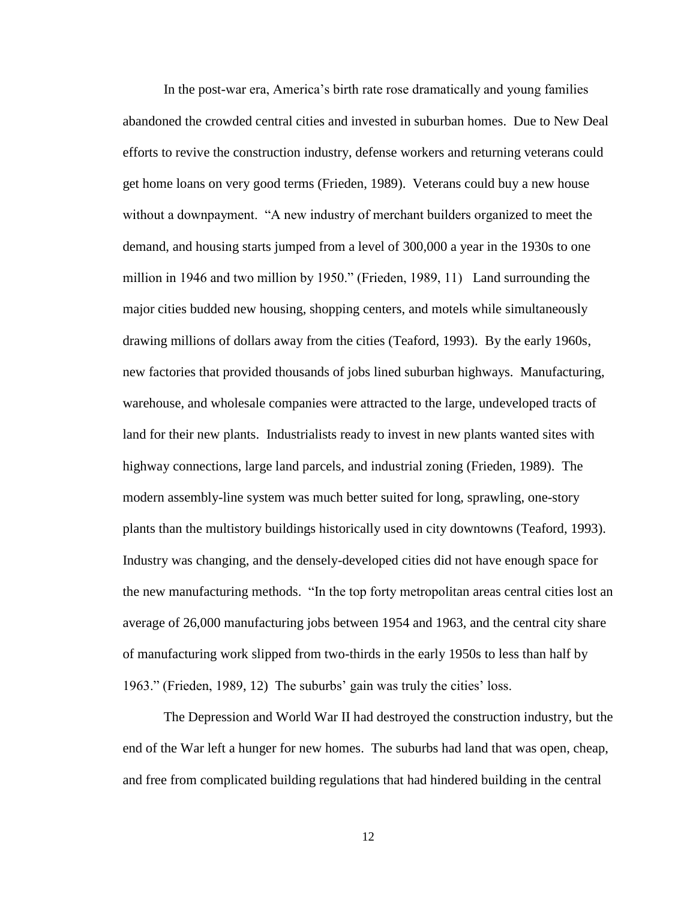In the post-war era, America"s birth rate rose dramatically and young families abandoned the crowded central cities and invested in suburban homes. Due to New Deal efforts to revive the construction industry, defense workers and returning veterans could get home loans on very good terms (Frieden, 1989). Veterans could buy a new house without a downpayment. "A new industry of merchant builders organized to meet the demand, and housing starts jumped from a level of 300,000 a year in the 1930s to one million in 1946 and two million by 1950." (Frieden, 1989, 11) Land surrounding the major cities budded new housing, shopping centers, and motels while simultaneously drawing millions of dollars away from the cities (Teaford, 1993). By the early 1960s, new factories that provided thousands of jobs lined suburban highways. Manufacturing, warehouse, and wholesale companies were attracted to the large, undeveloped tracts of land for their new plants. Industrialists ready to invest in new plants wanted sites with highway connections, large land parcels, and industrial zoning (Frieden, 1989). The modern assembly-line system was much better suited for long, sprawling, one-story plants than the multistory buildings historically used in city downtowns (Teaford, 1993). Industry was changing, and the densely-developed cities did not have enough space for the new manufacturing methods. "In the top forty metropolitan areas central cities lost an average of 26,000 manufacturing jobs between 1954 and 1963, and the central city share of manufacturing work slipped from two-thirds in the early 1950s to less than half by 1963." (Frieden, 1989, 12) The suburbs' gain was truly the cities' loss.

The Depression and World War II had destroyed the construction industry, but the end of the War left a hunger for new homes. The suburbs had land that was open, cheap, and free from complicated building regulations that had hindered building in the central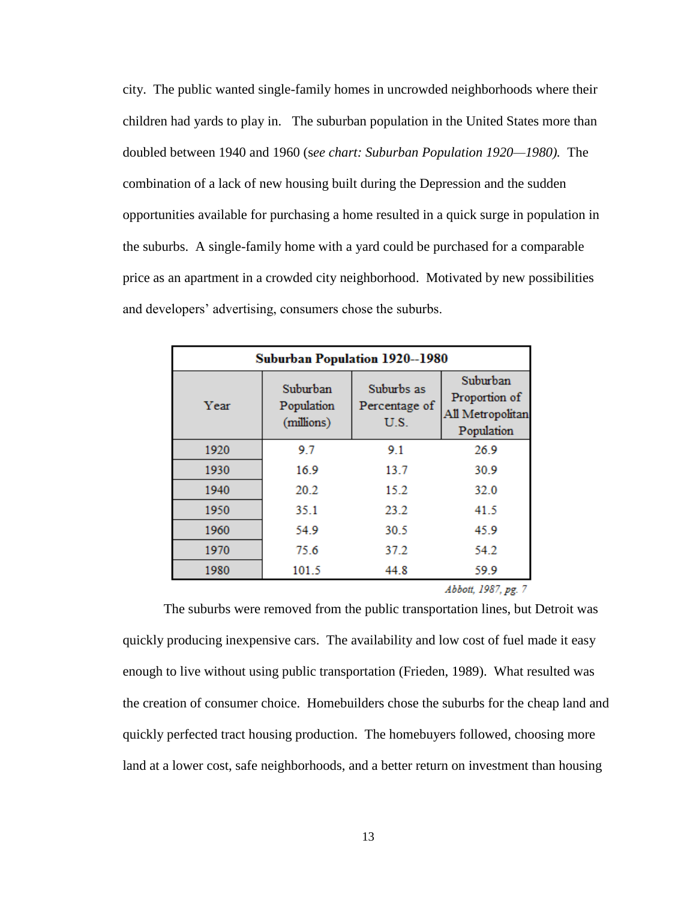city. The public wanted single-family homes in uncrowded neighborhoods where their children had yards to play in. The suburban population in the United States more than doubled between 1940 and 1960 (s*ee chart: Suburban Population 1920—1980).* The combination of a lack of new housing built during the Depression and the sudden opportunities available for purchasing a home resulted in a quick surge in population in the suburbs. A single-family home with a yard could be purchased for a comparable price as an apartment in a crowded city neighborhood. Motivated by new possibilities and developers' advertising, consumers chose the suburbs.

| <b>Suburban Population 1920--1980</b> |                                      |                                     |                                                             |  |  |  |  |  |
|---------------------------------------|--------------------------------------|-------------------------------------|-------------------------------------------------------------|--|--|--|--|--|
| Year                                  | Suburban<br>Population<br>(millions) | Suburbs as<br>Percentage of<br>U.S. | Suburban<br>Proportion of<br>All Metropolitan<br>Population |  |  |  |  |  |
| 1920                                  | 9.7                                  | 9.1                                 | 26.9                                                        |  |  |  |  |  |
| 1930                                  | 16.9                                 | 13.7                                | 30.9                                                        |  |  |  |  |  |
| 1940                                  | 20.2                                 | 15.2                                | 32.0                                                        |  |  |  |  |  |
| 1950                                  | 35.1                                 | 23.2                                | 41.5                                                        |  |  |  |  |  |
| 1960                                  | 54.9                                 | 30.5                                | 45.9                                                        |  |  |  |  |  |
| 1970                                  | 75.6                                 | 37.2                                | 54.2                                                        |  |  |  |  |  |
| 1980                                  | 101.5                                | 44.8                                | 59.9                                                        |  |  |  |  |  |

Abbott, 1987, pg. 7

The suburbs were removed from the public transportation lines, but Detroit was quickly producing inexpensive cars. The availability and low cost of fuel made it easy enough to live without using public transportation (Frieden, 1989). What resulted was the creation of consumer choice. Homebuilders chose the suburbs for the cheap land and quickly perfected tract housing production. The homebuyers followed, choosing more land at a lower cost, safe neighborhoods, and a better return on investment than housing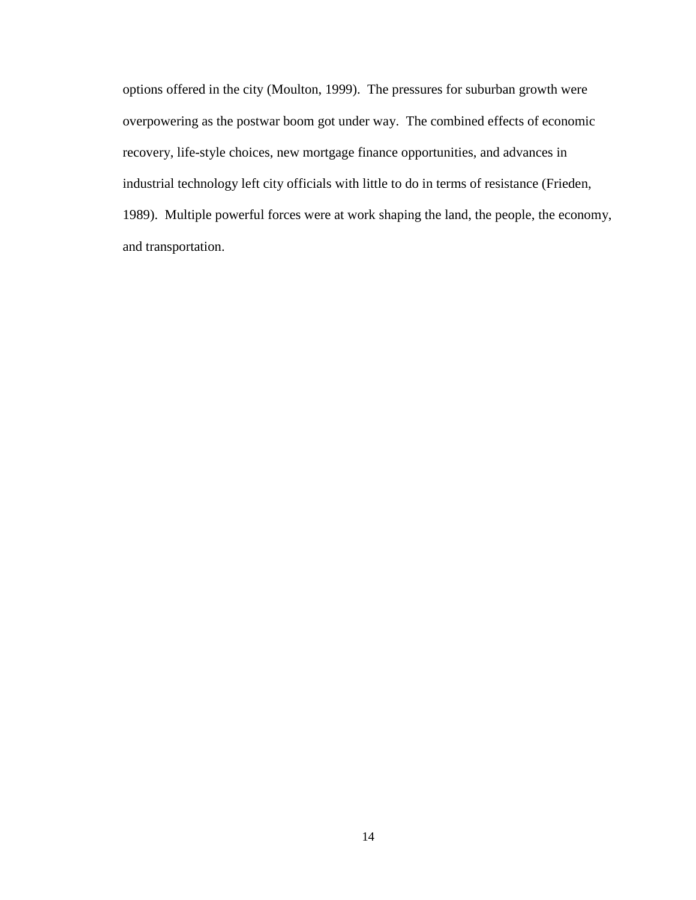options offered in the city (Moulton, 1999). The pressures for suburban growth were overpowering as the postwar boom got under way. The combined effects of economic recovery, life-style choices, new mortgage finance opportunities, and advances in industrial technology left city officials with little to do in terms of resistance (Frieden, 1989). Multiple powerful forces were at work shaping the land, the people, the economy, and transportation.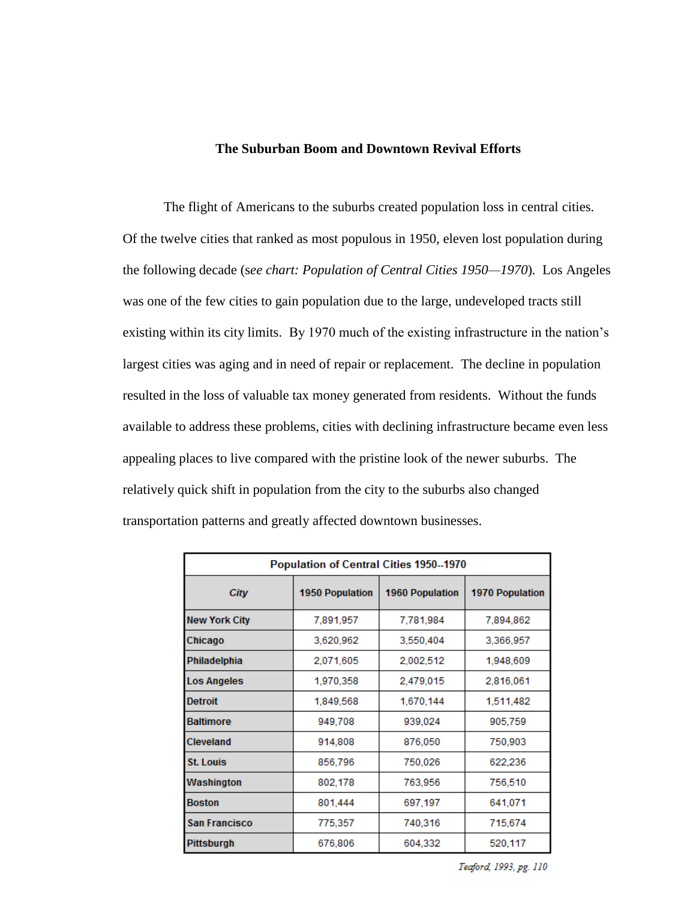# **The Suburban Boom and Downtown Revival Efforts**

The flight of Americans to the suburbs created population loss in central cities. Of the twelve cities that ranked as most populous in 1950, eleven lost population during the following decade (s*ee chart: Population of Central Cities 1950—1970*). Los Angeles was one of the few cities to gain population due to the large, undeveloped tracts still existing within its city limits. By 1970 much of the existing infrastructure in the nation"s largest cities was aging and in need of repair or replacement. The decline in population resulted in the loss of valuable tax money generated from residents. Without the funds available to address these problems, cities with declining infrastructure became even less appealing places to live compared with the pristine look of the newer suburbs. The relatively quick shift in population from the city to the suburbs also changed transportation patterns and greatly affected downtown businesses.

| Population of Central Cities 1950--1970 |                        |                        |                        |  |  |  |  |  |
|-----------------------------------------|------------------------|------------------------|------------------------|--|--|--|--|--|
| City                                    | <b>1950 Population</b> | <b>1960 Population</b> | <b>1970 Population</b> |  |  |  |  |  |
| <b>New York City</b>                    | 7,891,957              | 7,781,984              | 7,894,862              |  |  |  |  |  |
| Chicago                                 | 3,620,962              | 3,550,404              | 3,366,957              |  |  |  |  |  |
| Philadelphia                            | 2,071,605              | 2,002,512              | 1,948,609              |  |  |  |  |  |
| <b>Los Angeles</b>                      | 1,970,358              | 2,479,015              | 2,816,061              |  |  |  |  |  |
| <b>Detroit</b>                          | 1,849,568              | 1,670,144              | 1,511,482              |  |  |  |  |  |
| <b>Baltimore</b>                        | 949,708                | 939,024                | 905,759                |  |  |  |  |  |
| Cleveland                               | 914,808                | 876,050                | 750,903                |  |  |  |  |  |
| <b>St. Louis</b>                        | 856,796                | 750,026                | 622,236                |  |  |  |  |  |
| Washington                              | 802,178                | 763,956                | 756,510                |  |  |  |  |  |
| <b>Boston</b>                           | 801,444                | 697,197                | 641,071                |  |  |  |  |  |
| <b>San Francisco</b>                    | 775,357                | 740,316                | 715,674                |  |  |  |  |  |
| <b>Pittsburgh</b>                       | 676,806                | 604,332                | 520,117                |  |  |  |  |  |

Teaford, 1993, pg. 110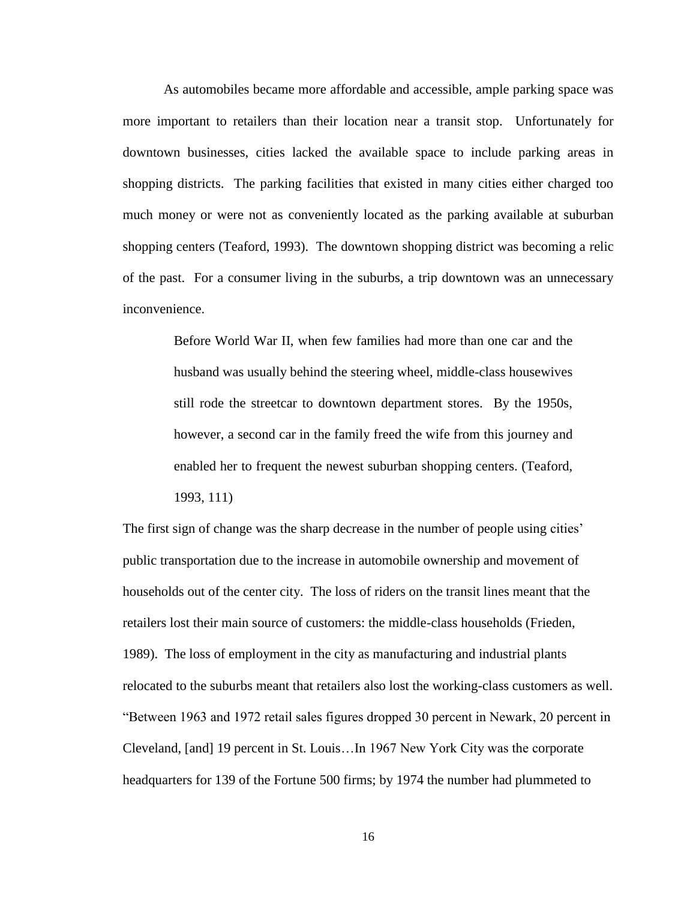As automobiles became more affordable and accessible, ample parking space was more important to retailers than their location near a transit stop. Unfortunately for downtown businesses, cities lacked the available space to include parking areas in shopping districts. The parking facilities that existed in many cities either charged too much money or were not as conveniently located as the parking available at suburban shopping centers (Teaford, 1993). The downtown shopping district was becoming a relic of the past. For a consumer living in the suburbs, a trip downtown was an unnecessary inconvenience.

> Before World War II, when few families had more than one car and the husband was usually behind the steering wheel, middle-class housewives still rode the streetcar to downtown department stores. By the 1950s, however, a second car in the family freed the wife from this journey and enabled her to frequent the newest suburban shopping centers. (Teaford, 1993, 111)

The first sign of change was the sharp decrease in the number of people using cities' public transportation due to the increase in automobile ownership and movement of households out of the center city. The loss of riders on the transit lines meant that the retailers lost their main source of customers: the middle-class households (Frieden, 1989). The loss of employment in the city as manufacturing and industrial plants relocated to the suburbs meant that retailers also lost the working-class customers as well. "Between 1963 and 1972 retail sales figures dropped 30 percent in Newark, 20 percent in Cleveland, [and] 19 percent in St. Louis…In 1967 New York City was the corporate headquarters for 139 of the Fortune 500 firms; by 1974 the number had plummeted to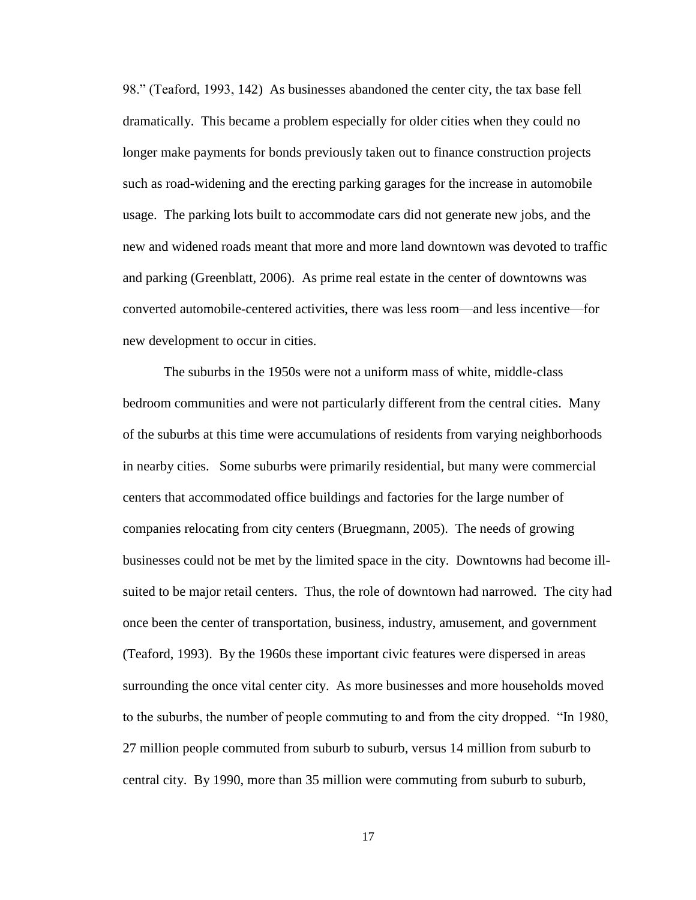98." (Teaford, 1993, 142) As businesses abandoned the center city, the tax base fell dramatically. This became a problem especially for older cities when they could no longer make payments for bonds previously taken out to finance construction projects such as road-widening and the erecting parking garages for the increase in automobile usage. The parking lots built to accommodate cars did not generate new jobs, and the new and widened roads meant that more and more land downtown was devoted to traffic and parking (Greenblatt, 2006). As prime real estate in the center of downtowns was converted automobile-centered activities, there was less room—and less incentive—for new development to occur in cities.

The suburbs in the 1950s were not a uniform mass of white, middle-class bedroom communities and were not particularly different from the central cities. Many of the suburbs at this time were accumulations of residents from varying neighborhoods in nearby cities. Some suburbs were primarily residential, but many were commercial centers that accommodated office buildings and factories for the large number of companies relocating from city centers (Bruegmann, 2005). The needs of growing businesses could not be met by the limited space in the city. Downtowns had become illsuited to be major retail centers. Thus, the role of downtown had narrowed. The city had once been the center of transportation, business, industry, amusement, and government (Teaford, 1993). By the 1960s these important civic features were dispersed in areas surrounding the once vital center city. As more businesses and more households moved to the suburbs, the number of people commuting to and from the city dropped. "In 1980, 27 million people commuted from suburb to suburb, versus 14 million from suburb to central city. By 1990, more than 35 million were commuting from suburb to suburb,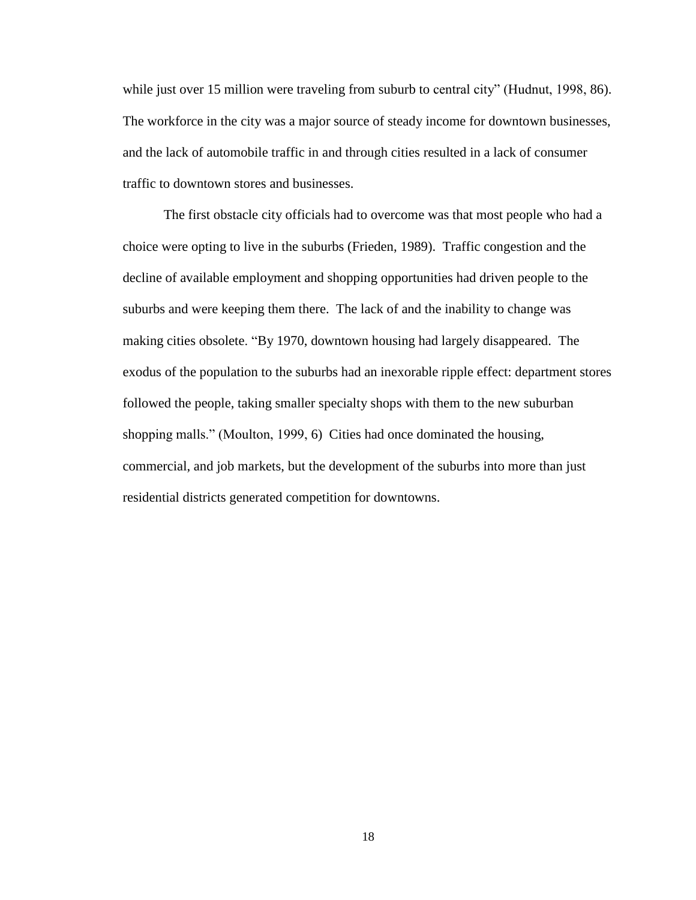while just over 15 million were traveling from suburb to central city" (Hudnut, 1998, 86). The workforce in the city was a major source of steady income for downtown businesses, and the lack of automobile traffic in and through cities resulted in a lack of consumer traffic to downtown stores and businesses.

The first obstacle city officials had to overcome was that most people who had a choice were opting to live in the suburbs (Frieden, 1989). Traffic congestion and the decline of available employment and shopping opportunities had driven people to the suburbs and were keeping them there. The lack of and the inability to change was making cities obsolete. "By 1970, downtown housing had largely disappeared. The exodus of the population to the suburbs had an inexorable ripple effect: department stores followed the people, taking smaller specialty shops with them to the new suburban shopping malls." (Moulton, 1999, 6) Cities had once dominated the housing, commercial, and job markets, but the development of the suburbs into more than just residential districts generated competition for downtowns.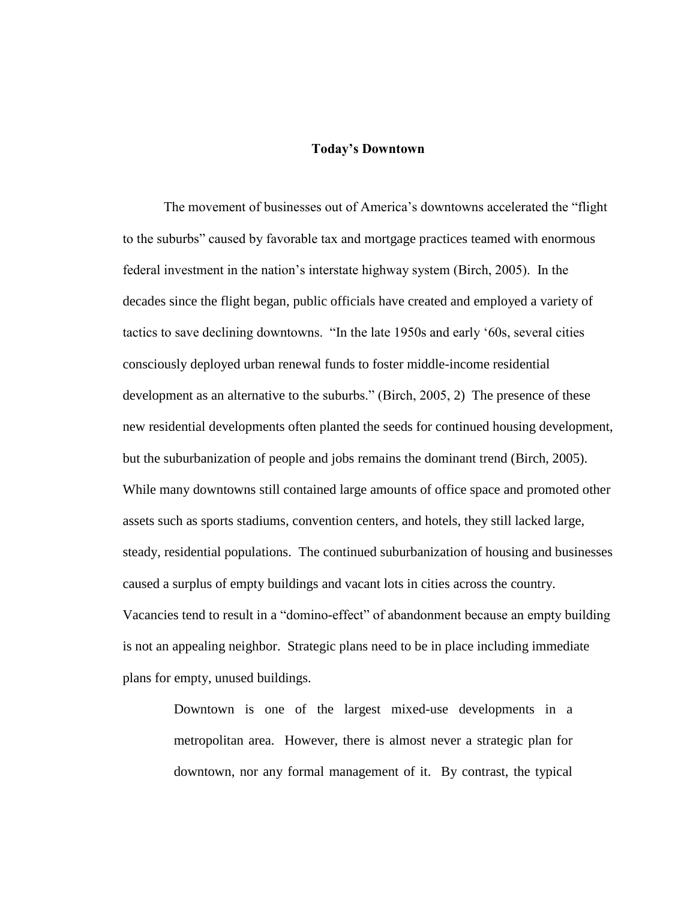#### **Today's Downtown**

The movement of businesses out of America"s downtowns accelerated the "flight to the suburbs" caused by favorable tax and mortgage practices teamed with enormous federal investment in the nation"s interstate highway system (Birch, 2005). In the decades since the flight began, public officials have created and employed a variety of tactics to save declining downtowns. "In the late 1950s and early "60s, several cities consciously deployed urban renewal funds to foster middle-income residential development as an alternative to the suburbs." (Birch, 2005, 2) The presence of these new residential developments often planted the seeds for continued housing development, but the suburbanization of people and jobs remains the dominant trend (Birch, 2005). While many downtowns still contained large amounts of office space and promoted other assets such as sports stadiums, convention centers, and hotels, they still lacked large, steady, residential populations. The continued suburbanization of housing and businesses caused a surplus of empty buildings and vacant lots in cities across the country. Vacancies tend to result in a "domino-effect" of abandonment because an empty building is not an appealing neighbor. Strategic plans need to be in place including immediate plans for empty, unused buildings.

> Downtown is one of the largest mixed-use developments in a metropolitan area. However, there is almost never a strategic plan for downtown, nor any formal management of it. By contrast, the typical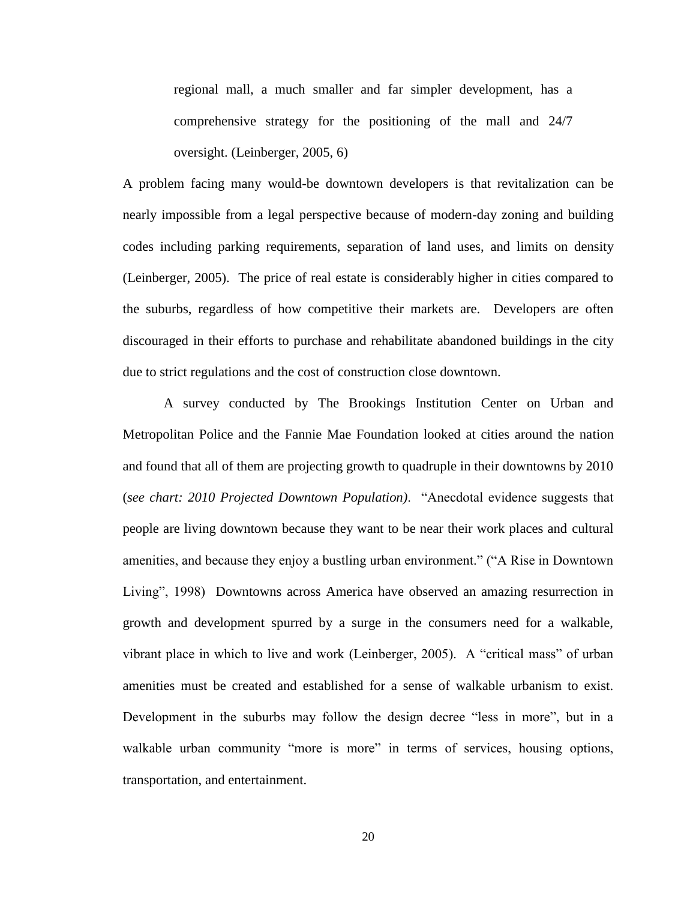regional mall, a much smaller and far simpler development, has a comprehensive strategy for the positioning of the mall and 24/7 oversight. (Leinberger, 2005, 6)

A problem facing many would-be downtown developers is that revitalization can be nearly impossible from a legal perspective because of modern-day zoning and building codes including parking requirements, separation of land uses, and limits on density (Leinberger, 2005). The price of real estate is considerably higher in cities compared to the suburbs, regardless of how competitive their markets are. Developers are often discouraged in their efforts to purchase and rehabilitate abandoned buildings in the city due to strict regulations and the cost of construction close downtown.

A survey conducted by The Brookings Institution Center on Urban and Metropolitan Police and the Fannie Mae Foundation looked at cities around the nation and found that all of them are projecting growth to quadruple in their downtowns by 2010 (*see chart: 2010 Projected Downtown Population)*. "Anecdotal evidence suggests that people are living downtown because they want to be near their work places and cultural amenities, and because they enjoy a bustling urban environment." ("A Rise in Downtown Living", 1998) Downtowns across America have observed an amazing resurrection in growth and development spurred by a surge in the consumers need for a walkable, vibrant place in which to live and work (Leinberger, 2005). A "critical mass" of urban amenities must be created and established for a sense of walkable urbanism to exist. Development in the suburbs may follow the design decree "less in more", but in a walkable urban community "more is more" in terms of services, housing options, transportation, and entertainment.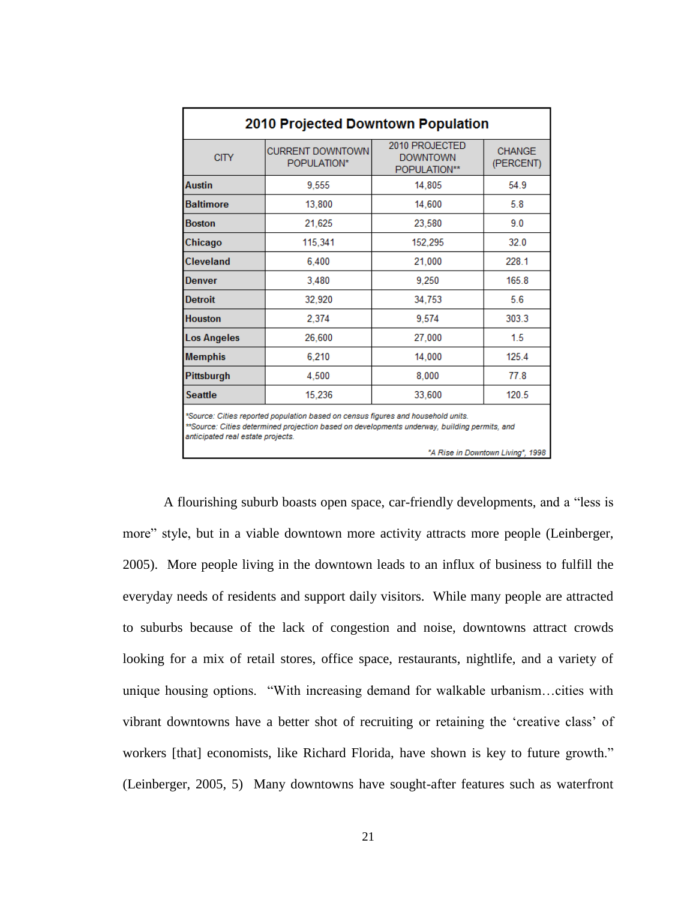|                                                                                                                                                                                                                       | <b>2010 Projected Downtown Population</b> |                                                   |                            |  |  |  |  |  |  |
|-----------------------------------------------------------------------------------------------------------------------------------------------------------------------------------------------------------------------|-------------------------------------------|---------------------------------------------------|----------------------------|--|--|--|--|--|--|
| <b>CITY</b>                                                                                                                                                                                                           | <b>CURRENT DOWNTOWN</b><br>POPULATION*    | 2010 PROJECTED<br><b>DOWNTOWN</b><br>POPULATION** | <b>CHANGE</b><br>(PERCENT) |  |  |  |  |  |  |
| <b>Austin</b>                                                                                                                                                                                                         | 9.555                                     | 14.805                                            | 54.9                       |  |  |  |  |  |  |
| <b>Baltimore</b>                                                                                                                                                                                                      | 13,800                                    | 14,600                                            | 5.8                        |  |  |  |  |  |  |
| <b>Boston</b>                                                                                                                                                                                                         | 21.625                                    | 23,580                                            | 9.0                        |  |  |  |  |  |  |
| Chicago                                                                                                                                                                                                               | 115,341                                   | 152,295                                           | 32.0                       |  |  |  |  |  |  |
| Cleveland                                                                                                                                                                                                             | 6.400                                     | 21,000                                            | 228.1                      |  |  |  |  |  |  |
| Denver                                                                                                                                                                                                                | 3.480                                     | 9.250                                             | 165.8                      |  |  |  |  |  |  |
| <b>Detroit</b>                                                                                                                                                                                                        | 32,920                                    | 34,753                                            | 5.6                        |  |  |  |  |  |  |
| <b>Houston</b>                                                                                                                                                                                                        | 2.374                                     | 9.574                                             | 303.3                      |  |  |  |  |  |  |
| <b>Los Angeles</b>                                                                                                                                                                                                    | 26,600                                    | 27,000                                            | 1.5                        |  |  |  |  |  |  |
| <b>Memphis</b>                                                                                                                                                                                                        | 6.210                                     | 14,000                                            | 125.4                      |  |  |  |  |  |  |
| Pittsburgh                                                                                                                                                                                                            | 4.500                                     | 8.000                                             | 77.8                       |  |  |  |  |  |  |
| <b>Seattle</b>                                                                                                                                                                                                        | 15,236                                    | 33,600                                            | 120.5                      |  |  |  |  |  |  |
| *Source: Cities reported population based on census figures and household units.<br>**Source: Cities determined projection based on developments underway, building permits, and<br>anticipated real estate projects. |                                           |                                                   |                            |  |  |  |  |  |  |

<sup>&</sup>quot;A Rise in Downtown Living", 1998

A flourishing suburb boasts open space, car-friendly developments, and a "less is more" style, but in a viable downtown more activity attracts more people (Leinberger, 2005). More people living in the downtown leads to an influx of business to fulfill the everyday needs of residents and support daily visitors. While many people are attracted to suburbs because of the lack of congestion and noise, downtowns attract crowds looking for a mix of retail stores, office space, restaurants, nightlife, and a variety of unique housing options. "With increasing demand for walkable urbanism…cities with vibrant downtowns have a better shot of recruiting or retaining the "creative class" of workers [that] economists, like Richard Florida, have shown is key to future growth." (Leinberger, 2005, 5) Many downtowns have sought-after features such as waterfront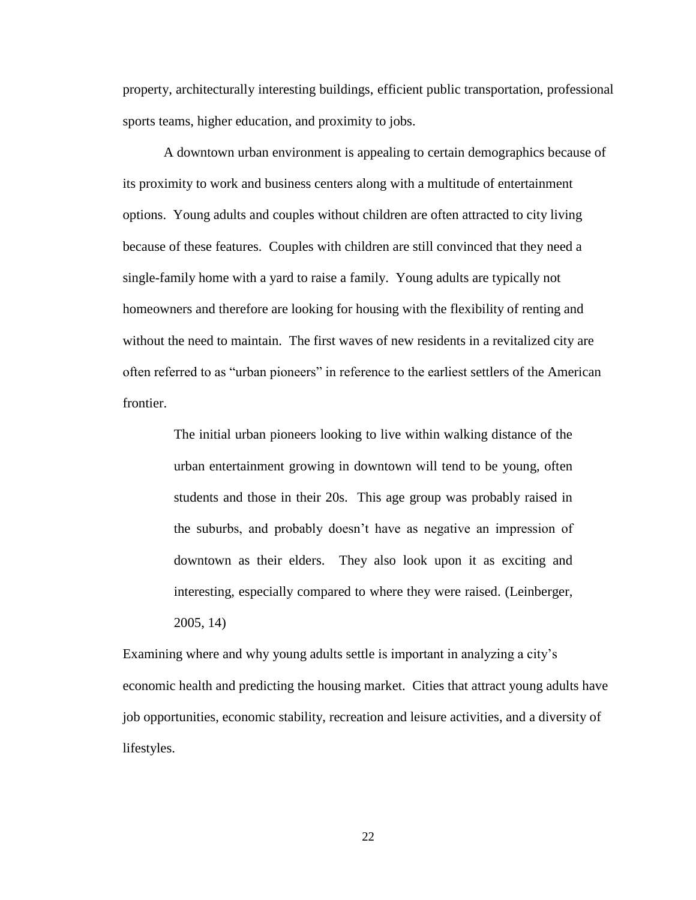property, architecturally interesting buildings, efficient public transportation, professional sports teams, higher education, and proximity to jobs.

A downtown urban environment is appealing to certain demographics because of its proximity to work and business centers along with a multitude of entertainment options. Young adults and couples without children are often attracted to city living because of these features. Couples with children are still convinced that they need a single-family home with a yard to raise a family. Young adults are typically not homeowners and therefore are looking for housing with the flexibility of renting and without the need to maintain. The first waves of new residents in a revitalized city are often referred to as "urban pioneers" in reference to the earliest settlers of the American frontier.

> The initial urban pioneers looking to live within walking distance of the urban entertainment growing in downtown will tend to be young, often students and those in their 20s. This age group was probably raised in the suburbs, and probably doesn"t have as negative an impression of downtown as their elders. They also look upon it as exciting and interesting, especially compared to where they were raised. (Leinberger, 2005, 14)

Examining where and why young adults settle is important in analyzing a city"s economic health and predicting the housing market. Cities that attract young adults have job opportunities, economic stability, recreation and leisure activities, and a diversity of lifestyles.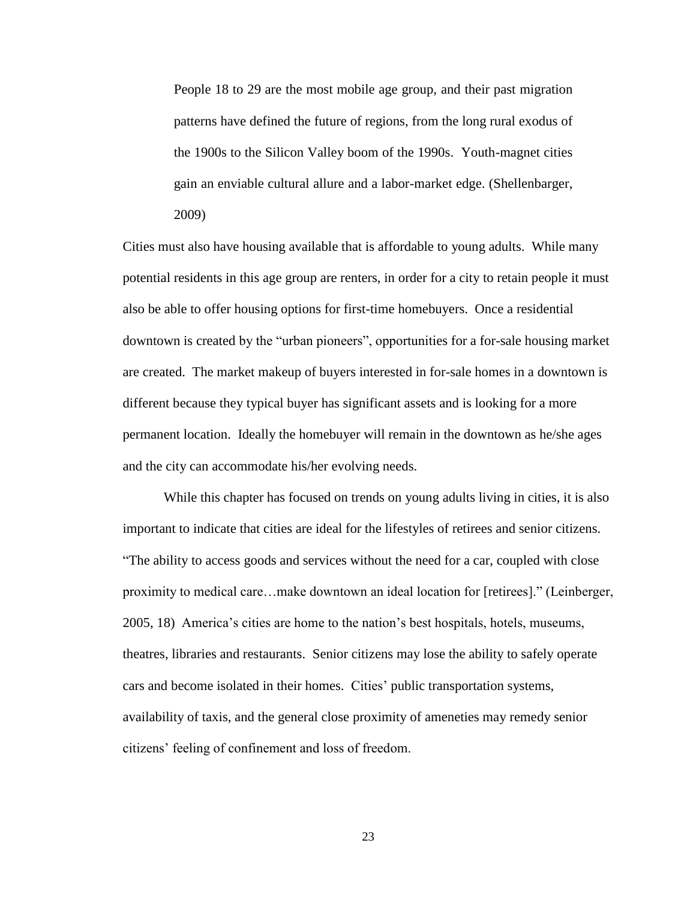People 18 to 29 are the most mobile age group, and their past migration patterns have defined the future of regions, from the long rural exodus of the 1900s to the Silicon Valley boom of the 1990s. Youth-magnet cities gain an enviable cultural allure and a labor-market edge. (Shellenbarger, 2009)

Cities must also have housing available that is affordable to young adults. While many potential residents in this age group are renters, in order for a city to retain people it must also be able to offer housing options for first-time homebuyers. Once a residential downtown is created by the "urban pioneers", opportunities for a for-sale housing market are created. The market makeup of buyers interested in for-sale homes in a downtown is different because they typical buyer has significant assets and is looking for a more permanent location. Ideally the homebuyer will remain in the downtown as he/she ages and the city can accommodate his/her evolving needs.

While this chapter has focused on trends on young adults living in cities, it is also important to indicate that cities are ideal for the lifestyles of retirees and senior citizens. "The ability to access goods and services without the need for a car, coupled with close proximity to medical care…make downtown an ideal location for [retirees]." (Leinberger, 2005, 18) America"s cities are home to the nation"s best hospitals, hotels, museums, theatres, libraries and restaurants. Senior citizens may lose the ability to safely operate cars and become isolated in their homes. Cities" public transportation systems, availability of taxis, and the general close proximity of ameneties may remedy senior citizens" feeling of confinement and loss of freedom.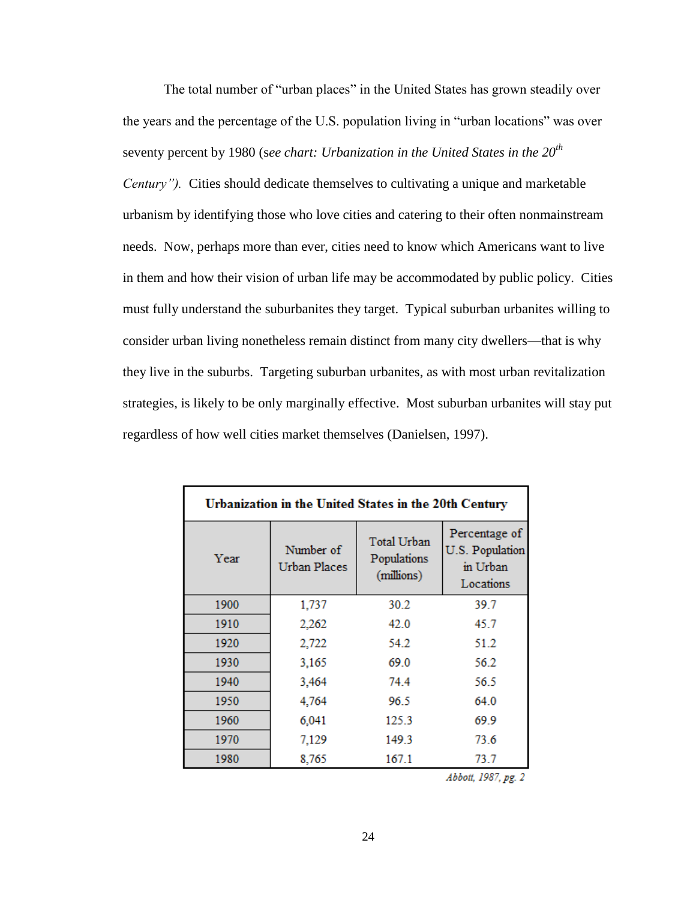The total number of "urban places" in the United States has grown steadily over the years and the percentage of the U.S. population living in "urban locations" was over seventy percent by 1980 (s*ee chart: Urbanization in the United States in the 20th*

*Century").* Cities should dedicate themselves to cultivating a unique and marketable urbanism by identifying those who love cities and catering to their often nonmainstream needs. Now, perhaps more than ever, cities need to know which Americans want to live in them and how their vision of urban life may be accommodated by public policy. Cities must fully understand the suburbanites they target. Typical suburban urbanites willing to consider urban living nonetheless remain distinct from many city dwellers—that is why they live in the suburbs. Targeting suburban urbanites, as with most urban revitalization strategies, is likely to be only marginally effective. Most suburban urbanites will stay put regardless of how well cities market themselves (Danielsen, 1997).

| Urbanization in the United States in the 20th Century |                                  |                                          |                                                           |  |  |  |  |  |
|-------------------------------------------------------|----------------------------------|------------------------------------------|-----------------------------------------------------------|--|--|--|--|--|
| Year                                                  | Number of<br><b>Urban Places</b> | Total Urban<br>Populations<br>(millions) | Percentage of<br>U.S. Population<br>in Urban<br>Locations |  |  |  |  |  |
| 1900                                                  | 1,737                            | 30.2                                     | 39.7                                                      |  |  |  |  |  |
| 1910                                                  | 2,262                            | 42.0                                     | 45.7                                                      |  |  |  |  |  |
| 1920                                                  | 2,722                            | 54.2                                     | 51.2                                                      |  |  |  |  |  |
| 1930                                                  | 3,165                            | 69.0                                     | 56.2                                                      |  |  |  |  |  |
| 1940                                                  | 3,464                            | 74.4                                     | 56.5                                                      |  |  |  |  |  |
| 1950                                                  | 4,764                            | 96.5                                     | 64.0                                                      |  |  |  |  |  |
| 1960                                                  | 6,041                            | 125.3                                    | 69.9                                                      |  |  |  |  |  |
| 1970                                                  | 7,129                            | 149.3                                    | 73.6                                                      |  |  |  |  |  |
| 1980                                                  | 8,765                            | 167.1                                    | 73.7                                                      |  |  |  |  |  |

Abbott, 1987, pg. 2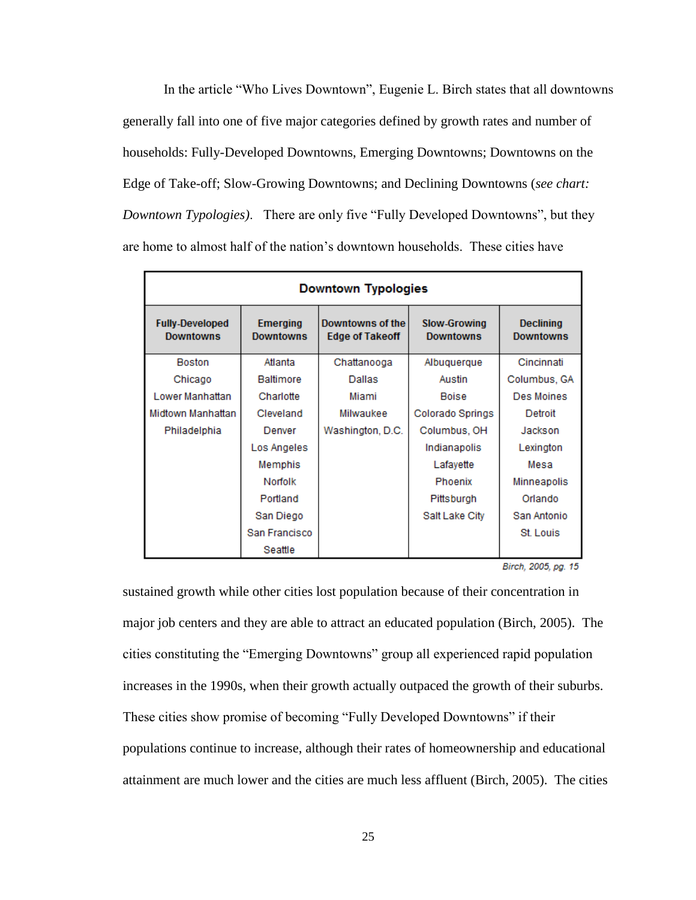In the article "Who Lives Downtown", Eugenie L. Birch states that all downtowns generally fall into one of five major categories defined by growth rates and number of households: Fully-Developed Downtowns, Emerging Downtowns; Downtowns on the Edge of Take-off; Slow-Growing Downtowns; and Declining Downtowns (*see chart: Downtown Typologies)*. There are only five "Fully Developed Downtowns", but they are home to almost half of the nation"s downtown households. These cities have

| <b>Downtown Typologies</b>                 |                                     |                                            |                                         |                                      |  |  |  |  |  |
|--------------------------------------------|-------------------------------------|--------------------------------------------|-----------------------------------------|--------------------------------------|--|--|--|--|--|
| <b>Fully-Developed</b><br><b>Downtowns</b> | <b>Emerging</b><br><b>Downtowns</b> | Downtowns of the<br><b>Edge of Takeoff</b> | <b>Slow-Growing</b><br><b>Downtowns</b> | <b>Declining</b><br><b>Downtowns</b> |  |  |  |  |  |
| <b>Boston</b>                              | Atlanta                             | Chattanooga                                | Albuquerque                             | Cincinnati                           |  |  |  |  |  |
| Chicago                                    | <b>Baltimore</b>                    | Dallas                                     | Austin                                  | Columbus, GA                         |  |  |  |  |  |
| Lower Manhattan                            | Charlotte                           | Miami                                      | <b>Boise</b>                            | Des Moines                           |  |  |  |  |  |
| Midtown Manhattan                          | Cleveland                           | Milwaukee                                  | Colorado Springs                        | Detroit                              |  |  |  |  |  |
| Philadelphia                               | Denver                              |                                            | Columbus, OH                            | Jackson                              |  |  |  |  |  |
|                                            | Los Angeles                         |                                            | Indianapolis                            | Lexington                            |  |  |  |  |  |
|                                            | Memphis                             |                                            | Lafayette                               | Mesa                                 |  |  |  |  |  |
|                                            | Norfolk                             |                                            | Phoenix                                 | Minneapolis                          |  |  |  |  |  |
|                                            | Portland                            |                                            | Pittsburgh                              | Orlando                              |  |  |  |  |  |
|                                            | San Diego                           |                                            | Salt Lake City                          | San Antonio                          |  |  |  |  |  |
|                                            | San Francisco                       |                                            |                                         | St. Louis                            |  |  |  |  |  |
|                                            | Seattle                             |                                            |                                         |                                      |  |  |  |  |  |

Birch, 2005, pg. 15

sustained growth while other cities lost population because of their concentration in major job centers and they are able to attract an educated population (Birch, 2005). The cities constituting the "Emerging Downtowns" group all experienced rapid population increases in the 1990s, when their growth actually outpaced the growth of their suburbs. These cities show promise of becoming "Fully Developed Downtowns" if their populations continue to increase, although their rates of homeownership and educational attainment are much lower and the cities are much less affluent (Birch, 2005). The cities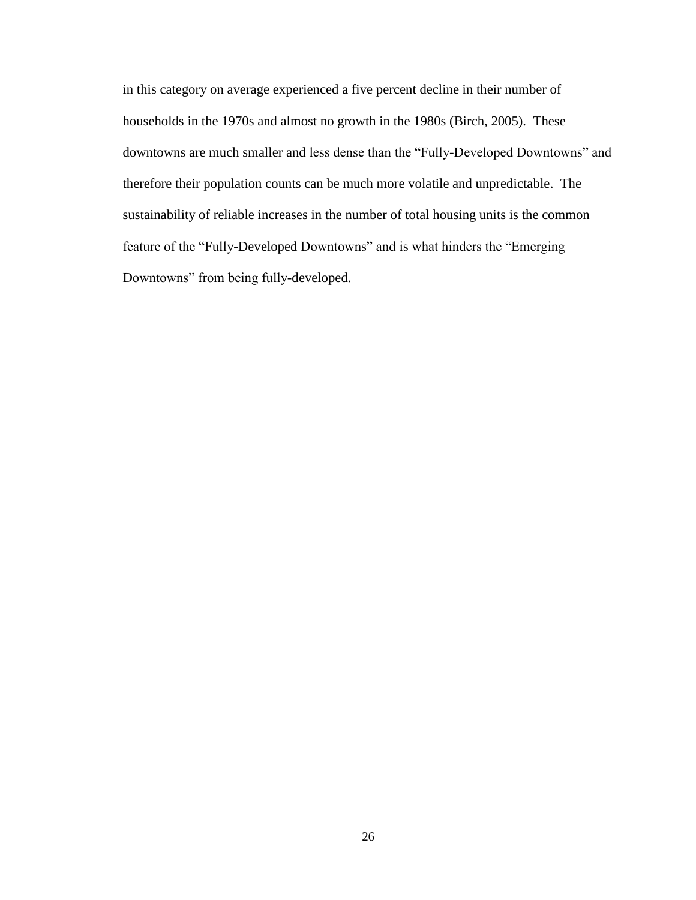in this category on average experienced a five percent decline in their number of households in the 1970s and almost no growth in the 1980s (Birch, 2005). These downtowns are much smaller and less dense than the "Fully-Developed Downtowns" and therefore their population counts can be much more volatile and unpredictable. The sustainability of reliable increases in the number of total housing units is the common feature of the "Fully-Developed Downtowns" and is what hinders the "Emerging Downtowns" from being fully-developed.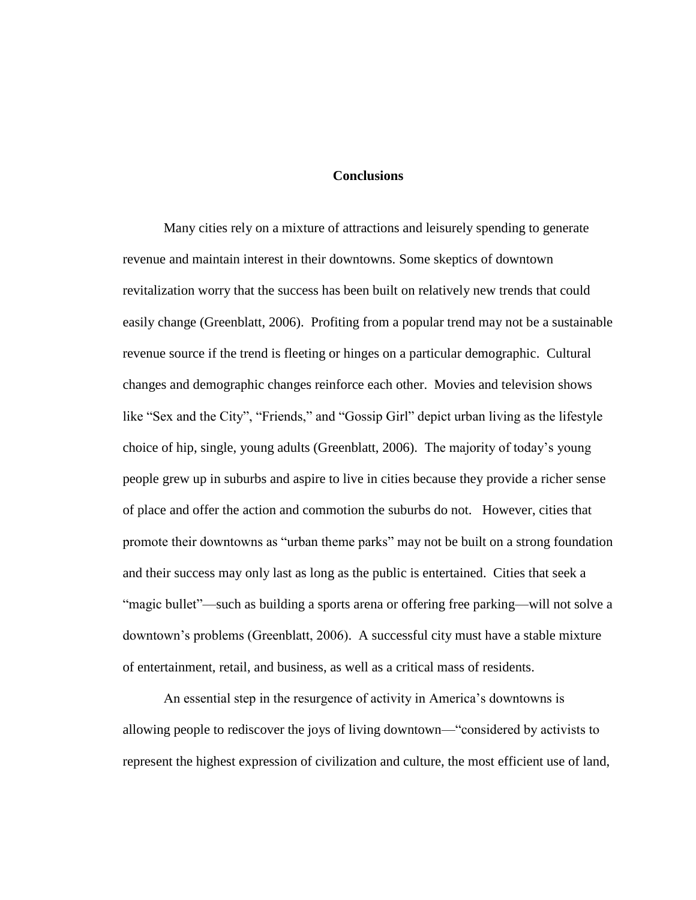### **Conclusions**

Many cities rely on a mixture of attractions and leisurely spending to generate revenue and maintain interest in their downtowns. Some skeptics of downtown revitalization worry that the success has been built on relatively new trends that could easily change (Greenblatt, 2006). Profiting from a popular trend may not be a sustainable revenue source if the trend is fleeting or hinges on a particular demographic. Cultural changes and demographic changes reinforce each other. Movies and television shows like "Sex and the City", "Friends," and "Gossip Girl" depict urban living as the lifestyle choice of hip, single, young adults (Greenblatt, 2006). The majority of today"s young people grew up in suburbs and aspire to live in cities because they provide a richer sense of place and offer the action and commotion the suburbs do not. However, cities that promote their downtowns as "urban theme parks" may not be built on a strong foundation and their success may only last as long as the public is entertained. Cities that seek a "magic bullet"—such as building a sports arena or offering free parking—will not solve a downtown"s problems (Greenblatt, 2006). A successful city must have a stable mixture of entertainment, retail, and business, as well as a critical mass of residents.

An essential step in the resurgence of activity in America"s downtowns is allowing people to rediscover the joys of living downtown—"considered by activists to represent the highest expression of civilization and culture, the most efficient use of land,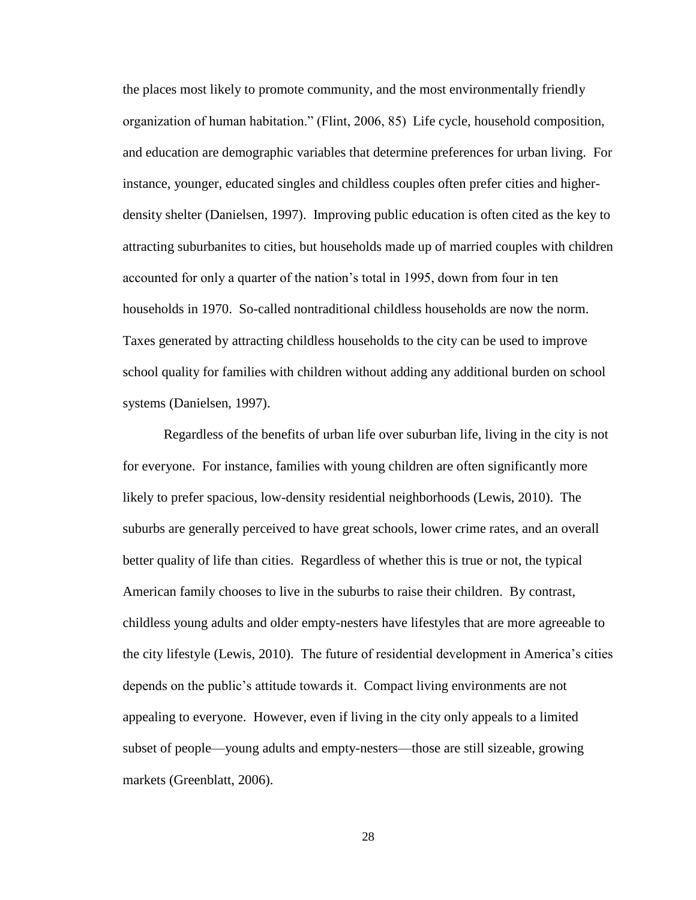the places most likely to promote community, and the most environmentally friendly organization of human habitation." (Flint, 2006, 85) Life cycle, household composition, and education are demographic variables that determine preferences for urban living. For instance, younger, educated singles and childless couples often prefer cities and higherdensity shelter (Danielsen, 1997). Improving public education is often cited as the key to attracting suburbanites to cities, but households made up of married couples with children accounted for only a quarter of the nation"s total in 1995, down from four in ten households in 1970. So-called nontraditional childless households are now the norm. Taxes generated by attracting childless households to the city can be used to improve school quality for families with children without adding any additional burden on school systems (Danielsen, 1997).

Regardless of the benefits of urban life over suburban life, living in the city is not for everyone. For instance, families with young children are often significantly more likely to prefer spacious, low-density residential neighborhoods (Lewis, 2010). The suburbs are generally perceived to have great schools, lower crime rates, and an overall better quality of life than cities. Regardless of whether this is true or not, the typical American family chooses to live in the suburbs to raise their children. By contrast, childless young adults and older empty-nesters have lifestyles that are more agreeable to the city lifestyle (Lewis, 2010). The future of residential development in America"s cities depends on the public"s attitude towards it. Compact living environments are not appealing to everyone. However, even if living in the city only appeals to a limited subset of people—young adults and empty-nesters—those are still sizeable, growing markets (Greenblatt, 2006).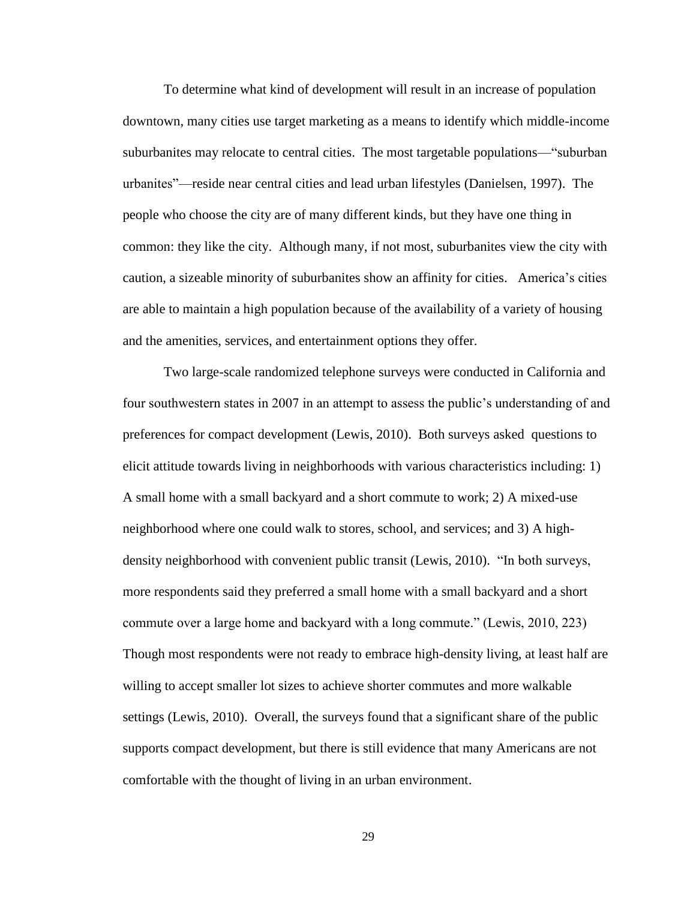To determine what kind of development will result in an increase of population downtown, many cities use target marketing as a means to identify which middle-income suburbanites may relocate to central cities. The most targetable populations—"suburban urbanites"—reside near central cities and lead urban lifestyles (Danielsen, 1997). The people who choose the city are of many different kinds, but they have one thing in common: they like the city. Although many, if not most, suburbanites view the city with caution, a sizeable minority of suburbanites show an affinity for cities. America"s cities are able to maintain a high population because of the availability of a variety of housing and the amenities, services, and entertainment options they offer.

Two large-scale randomized telephone surveys were conducted in California and four southwestern states in 2007 in an attempt to assess the public"s understanding of and preferences for compact development (Lewis, 2010). Both surveys asked questions to elicit attitude towards living in neighborhoods with various characteristics including: 1) A small home with a small backyard and a short commute to work; 2) A mixed-use neighborhood where one could walk to stores, school, and services; and 3) A highdensity neighborhood with convenient public transit (Lewis, 2010). "In both surveys, more respondents said they preferred a small home with a small backyard and a short commute over a large home and backyard with a long commute." (Lewis, 2010, 223) Though most respondents were not ready to embrace high-density living, at least half are willing to accept smaller lot sizes to achieve shorter commutes and more walkable settings (Lewis, 2010). Overall, the surveys found that a significant share of the public supports compact development, but there is still evidence that many Americans are not comfortable with the thought of living in an urban environment.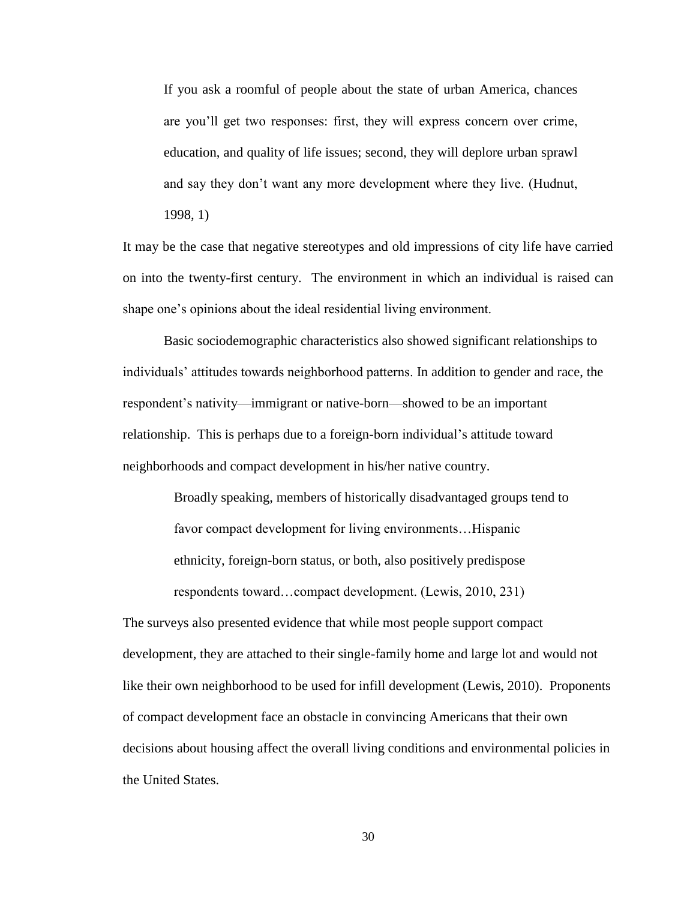If you ask a roomful of people about the state of urban America, chances are you"ll get two responses: first, they will express concern over crime, education, and quality of life issues; second, they will deplore urban sprawl and say they don"t want any more development where they live. (Hudnut,

1998, 1)

It may be the case that negative stereotypes and old impressions of city life have carried on into the twenty-first century. The environment in which an individual is raised can shape one"s opinions about the ideal residential living environment.

Basic sociodemographic characteristics also showed significant relationships to individuals" attitudes towards neighborhood patterns. In addition to gender and race, the respondent"s nativity—immigrant or native-born—showed to be an important relationship. This is perhaps due to a foreign-born individual"s attitude toward neighborhoods and compact development in his/her native country.

> Broadly speaking, members of historically disadvantaged groups tend to favor compact development for living environments…Hispanic ethnicity, foreign-born status, or both, also positively predispose respondents toward…compact development. (Lewis, 2010, 231)

The surveys also presented evidence that while most people support compact development, they are attached to their single-family home and large lot and would not like their own neighborhood to be used for infill development (Lewis, 2010). Proponents of compact development face an obstacle in convincing Americans that their own decisions about housing affect the overall living conditions and environmental policies in the United States.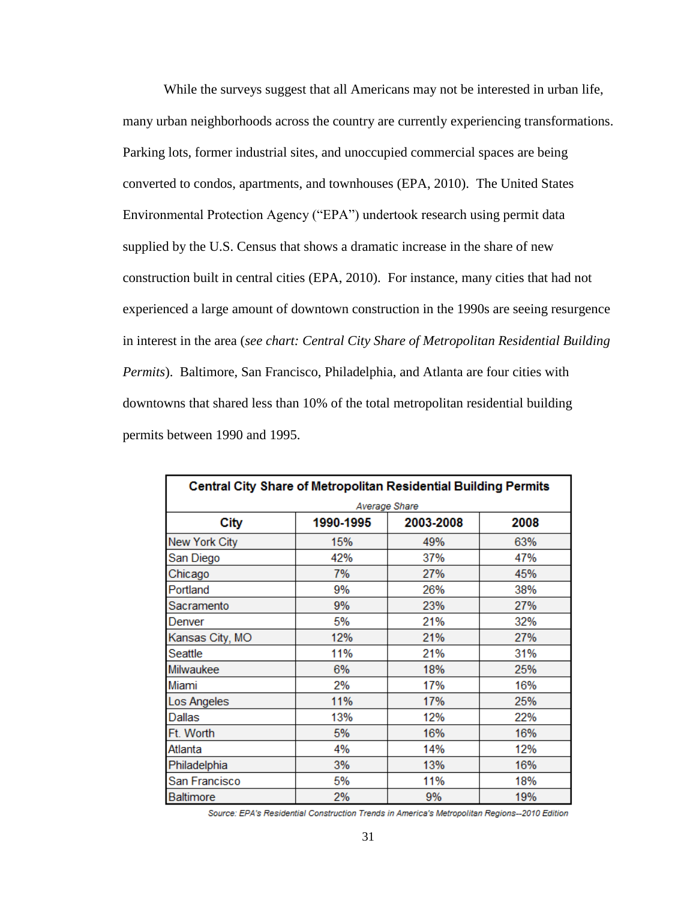While the surveys suggest that all Americans may not be interested in urban life, many urban neighborhoods across the country are currently experiencing transformations. Parking lots, former industrial sites, and unoccupied commercial spaces are being converted to condos, apartments, and townhouses (EPA, 2010). The United States Environmental Protection Agency ("EPA") undertook research using permit data supplied by the U.S. Census that shows a dramatic increase in the share of new construction built in central cities (EPA, 2010). For instance, many cities that had not experienced a large amount of downtown construction in the 1990s are seeing resurgence in interest in the area (*see chart: Central City Share of Metropolitan Residential Building Permits*). Baltimore, San Francisco, Philadelphia, and Atlanta are four cities with downtowns that shared less than 10% of the total metropolitan residential building permits between 1990 and 1995.

| <b>Central City Share of Metropolitan Residential Building Permits</b> |           |           |      |  |  |  |  |  |  |
|------------------------------------------------------------------------|-----------|-----------|------|--|--|--|--|--|--|
| Average Share                                                          |           |           |      |  |  |  |  |  |  |
| City                                                                   | 1990-1995 | 2003-2008 | 2008 |  |  |  |  |  |  |
| New York City                                                          | 15%       | 49%       | 63%  |  |  |  |  |  |  |
| San Diego                                                              | 42%       | 37%       | 47%  |  |  |  |  |  |  |
| Chicago                                                                | 7%        | 27%       | 45%  |  |  |  |  |  |  |
| Portland                                                               | 9%        | 26%       | 38%  |  |  |  |  |  |  |
| Sacramento                                                             | 9%        | 23%       | 27%  |  |  |  |  |  |  |
| Denver                                                                 | 5%        | 21%       | 32%  |  |  |  |  |  |  |
| Kansas City, MO                                                        | 12%       | 21%       | 27%  |  |  |  |  |  |  |
| Seattle                                                                | 11%       | 21%       | 31%  |  |  |  |  |  |  |
| Milwaukee                                                              | 6%        | 18%       | 25%  |  |  |  |  |  |  |
| Miami                                                                  | 2%        | 17%       | 16%  |  |  |  |  |  |  |
| Los Angeles                                                            | 11%       | 17%       | 25%  |  |  |  |  |  |  |
| Dallas                                                                 | 13%       | 12%       | 22%  |  |  |  |  |  |  |
| Ft. Worth                                                              | 5%        | 16%       | 16%  |  |  |  |  |  |  |
| Atlanta                                                                | 4%        | 14%       | 12%  |  |  |  |  |  |  |
| Philadelphia                                                           | 3%        | 13%       | 16%  |  |  |  |  |  |  |
| San Francisco                                                          | 5%        | 11%       | 18%  |  |  |  |  |  |  |
| <b>Baltimore</b>                                                       | 2%        | 9%        | 19%  |  |  |  |  |  |  |

Source: EPA's Residential Construction Trends in America's Metropolitan Regions--2010 Edition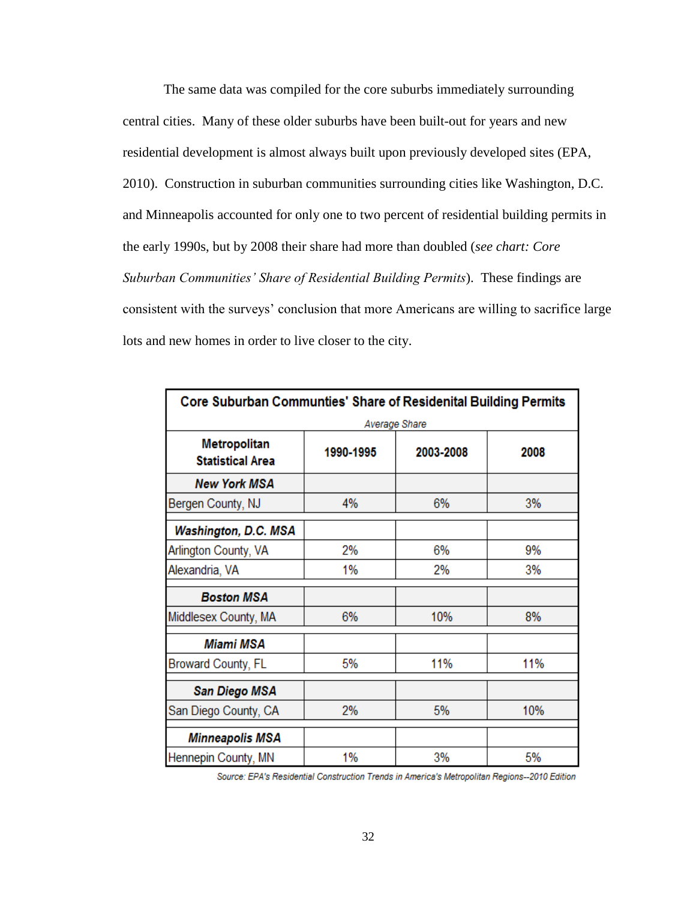The same data was compiled for the core suburbs immediately surrounding central cities. Many of these older suburbs have been built-out for years and new residential development is almost always built upon previously developed sites (EPA, 2010). Construction in suburban communities surrounding cities like Washington, D.C. and Minneapolis accounted for only one to two percent of residential building permits in the early 1990s, but by 2008 their share had more than doubled (*see chart: Core Suburban Communities' Share of Residential Building Permits*). These findings are consistent with the surveys" conclusion that more Americans are willing to sacrifice large lots and new homes in order to live closer to the city.

| Core Suburban Communties' Share of Residenital Building Permits |           |           |      |  |  |  |  |  |
|-----------------------------------------------------------------|-----------|-----------|------|--|--|--|--|--|
| Average Share                                                   |           |           |      |  |  |  |  |  |
| <b>Metropolitan</b><br><b>Statistical Area</b>                  | 1990-1995 | 2003-2008 | 2008 |  |  |  |  |  |
| New York MSA                                                    |           |           |      |  |  |  |  |  |
| Bergen County, NJ                                               | 4%        | 6%        | 3%   |  |  |  |  |  |
| Washington, D.C. MSA                                            |           |           |      |  |  |  |  |  |
| Arlington County, VA                                            | 2%        | 6%        | 9%   |  |  |  |  |  |
| Alexandria, VA                                                  | 1%        | 2%        | 3%   |  |  |  |  |  |
| Boston MSA                                                      |           |           |      |  |  |  |  |  |
| Middlesex County, MA                                            | 6%        | 10%       | 8%   |  |  |  |  |  |
| Miami MSA                                                       |           |           |      |  |  |  |  |  |
| <b>Broward County, FL</b>                                       | 5%        | 11%       | 11%  |  |  |  |  |  |
| San Diego MSA                                                   |           |           |      |  |  |  |  |  |
| San Diego County, CA                                            | 2%        | 5%        | 10%  |  |  |  |  |  |
| <b>Minneapolis MSA</b>                                          |           |           |      |  |  |  |  |  |
| Hennepin County, MN                                             | 1%        | 3%        | 5%   |  |  |  |  |  |

Source: EPA's Residential Construction Trends in America's Metropolitan Regions--2010 Edition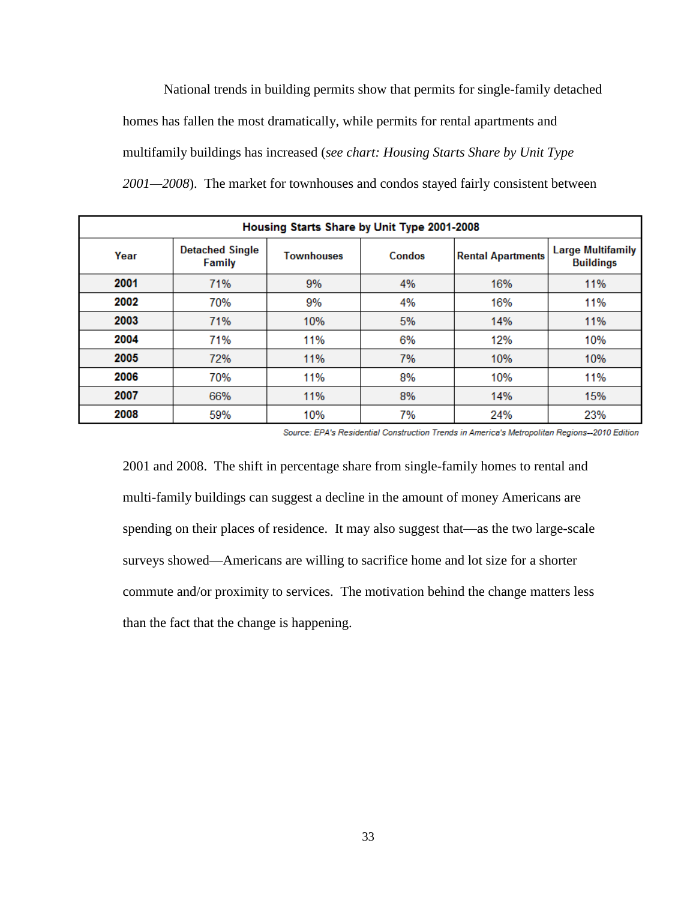National trends in building permits show that permits for single-family detached homes has fallen the most dramatically, while permits for rental apartments and multifamily buildings has increased (*see chart: Housing Starts Share by Unit Type 2001—2008*). The market for townhouses and condos stayed fairly consistent between

| Housing Starts Share by Unit Type 2001-2008 |                                  |                             |    |                          |                                              |  |  |  |  |
|---------------------------------------------|----------------------------------|-----------------------------|----|--------------------------|----------------------------------------------|--|--|--|--|
| Year                                        | <b>Detached Single</b><br>Family | <b>Townhouses</b><br>Condos |    | <b>Rental Apartments</b> | <b>Large Multifamily</b><br><b>Buildings</b> |  |  |  |  |
| 2001                                        | 71%                              | 9%                          | 4% | 16%                      | 11%                                          |  |  |  |  |
| 2002                                        | 70%                              | 9%                          | 4% | 16%                      | 11%                                          |  |  |  |  |
| 2003                                        | 71%                              | 10%                         | 5% | 14%                      | 11%                                          |  |  |  |  |
| 2004                                        | 71%                              | 11%                         | 6% | 12%                      | 10%                                          |  |  |  |  |
| 2005                                        | 72%                              | 11%                         | 7% | 10%                      | 10%                                          |  |  |  |  |
| 2006                                        | 70%                              | 11%                         | 8% | 10%                      | 11%                                          |  |  |  |  |
| 2007                                        | 66%                              | 11%                         | 8% | 14%                      | 15%                                          |  |  |  |  |
| 2008                                        | 59%                              | 10%                         | 7% | 24%                      | 23%                                          |  |  |  |  |

Source: EPA's Residential Construction Trends in America's Metropolitan Regions--2010 Edition

2001 and 2008. The shift in percentage share from single-family homes to rental and multi-family buildings can suggest a decline in the amount of money Americans are spending on their places of residence. It may also suggest that—as the two large-scale surveys showed—Americans are willing to sacrifice home and lot size for a shorter commute and/or proximity to services. The motivation behind the change matters less than the fact that the change is happening.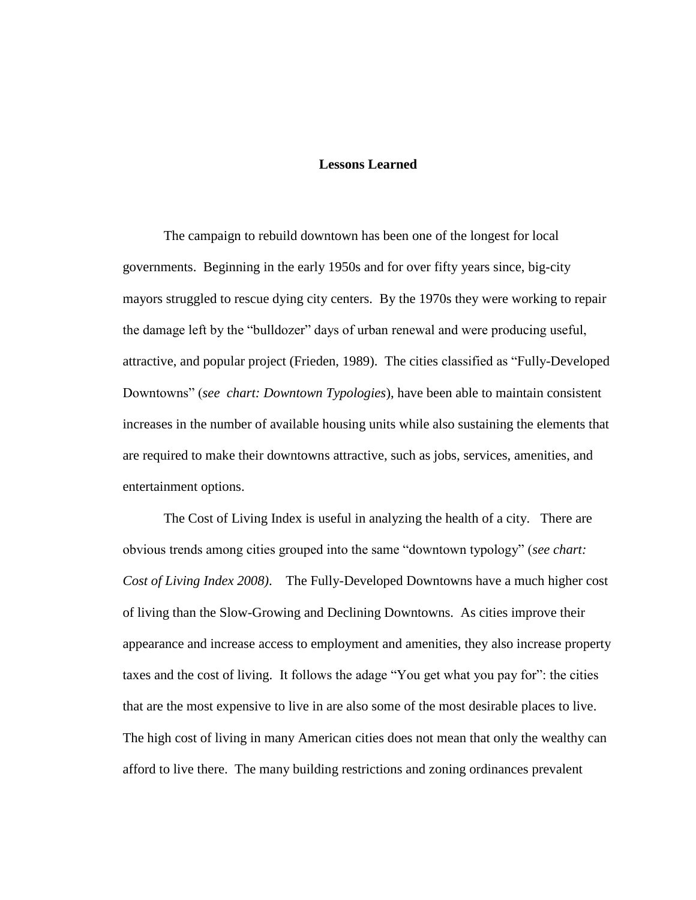#### **Lessons Learned**

The campaign to rebuild downtown has been one of the longest for local governments. Beginning in the early 1950s and for over fifty years since, big-city mayors struggled to rescue dying city centers. By the 1970s they were working to repair the damage left by the "bulldozer" days of urban renewal and were producing useful, attractive, and popular project (Frieden, 1989). The cities classified as "Fully-Developed Downtowns" (*see chart: Downtown Typologies*), have been able to maintain consistent increases in the number of available housing units while also sustaining the elements that are required to make their downtowns attractive, such as jobs, services, amenities, and entertainment options.

The Cost of Living Index is useful in analyzing the health of a city. There are obvious trends among cities grouped into the same "downtown typology" (*see chart: Cost of Living Index 2008)*. The Fully-Developed Downtowns have a much higher cost of living than the Slow-Growing and Declining Downtowns. As cities improve their appearance and increase access to employment and amenities, they also increase property taxes and the cost of living. It follows the adage "You get what you pay for": the cities that are the most expensive to live in are also some of the most desirable places to live. The high cost of living in many American cities does not mean that only the wealthy can afford to live there. The many building restrictions and zoning ordinances prevalent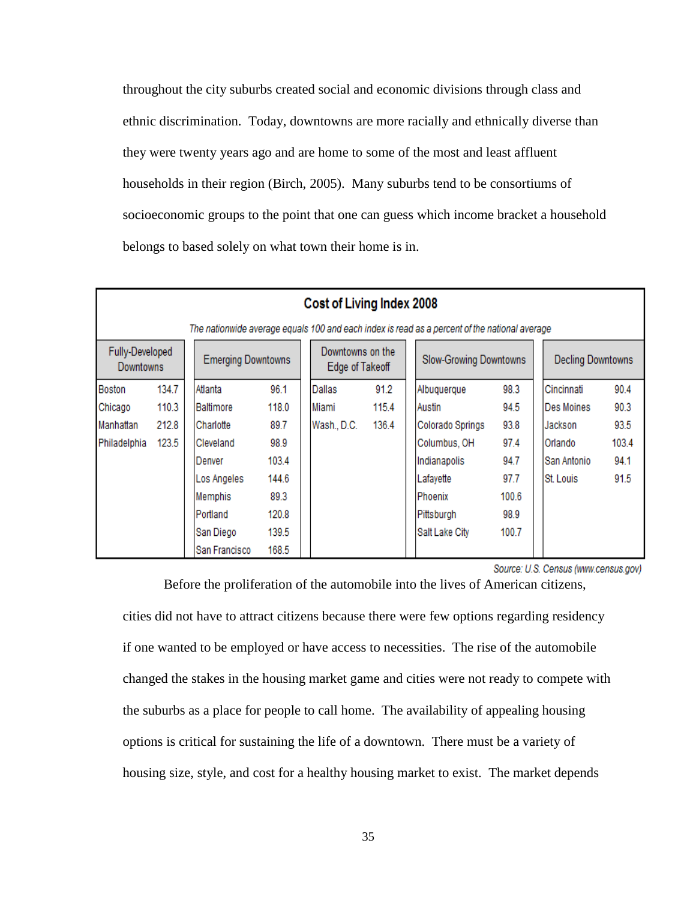throughout the city suburbs created social and economic divisions through class and ethnic discrimination. Today, downtowns are more racially and ethnically diverse than they were twenty years ago and are home to some of the most and least affluent households in their region (Birch, 2005). Many suburbs tend to be consortiums of socioeconomic groups to the point that one can guess which income bracket a household belongs to based solely on what town their home is in.

|                                                                                                         | Cost of Living Index 2008                                                                     |               |       |  |                               |       |                          |                  |       |             |       |
|---------------------------------------------------------------------------------------------------------|-----------------------------------------------------------------------------------------------|---------------|-------|--|-------------------------------|-------|--------------------------|------------------|-------|-------------|-------|
|                                                                                                         | The nationwide average equals 100 and each index is read as a percent of the national average |               |       |  |                               |       |                          |                  |       |             |       |
| Fully-Developed<br>Downtowns on the<br><b>Emerging Downtowns</b><br><b>Downtowns</b><br>Edge of Takeoff |                                                                                               |               |       |  | <b>Slow-Growing Downtowns</b> |       | <b>Decling Downtowns</b> |                  |       |             |       |
| <b>Boston</b>                                                                                           | 134.7                                                                                         | Atlanta       | 96.1  |  | Dallas                        | 91.2  |                          | Albuquerque      | 98.3  | Cincinnati  | 90.4  |
| Chicago                                                                                                 | 110.3                                                                                         | Baltimore     | 118.0 |  | Miami                         | 115.4 |                          | Austin           | 94.5  | Des Moines  | 90.3  |
| Manhattan                                                                                               | 212.8                                                                                         | Charlotte     | 89.7  |  | Wash., D.C.                   | 136.4 |                          | Colorado Springs | 93.8  | Jackson     | 93.5  |
| Philadelphia                                                                                            | 123.5                                                                                         | Cleveland     | 98.9  |  |                               |       |                          | Columbus, OH     | 97.4  | Orlando     | 103.4 |
|                                                                                                         |                                                                                               | Denver        | 103.4 |  |                               |       |                          | Indianapolis     | 94.7  | San Antonio | 94.1  |
|                                                                                                         |                                                                                               | Los Angeles   | 144.6 |  |                               |       |                          | Lafayette        | 97.7  | St. Louis   | 91.5  |
|                                                                                                         |                                                                                               | Memphis       | 89.3  |  |                               |       |                          | Phoenix          | 100.6 |             |       |
|                                                                                                         |                                                                                               | l Portland    | 120.8 |  |                               |       |                          | Pittsburgh       | 98.9  |             |       |
|                                                                                                         |                                                                                               | San Diego     | 139.5 |  |                               |       |                          | Salt Lake City   | 100.7 |             |       |
|                                                                                                         |                                                                                               | San Francisco | 168.5 |  |                               |       |                          |                  |       |             |       |

Source: U.S. Census (www.census.gov)

Before the proliferation of the automobile into the lives of American citizens,

cities did not have to attract citizens because there were few options regarding residency if one wanted to be employed or have access to necessities. The rise of the automobile changed the stakes in the housing market game and cities were not ready to compete with the suburbs as a place for people to call home. The availability of appealing housing options is critical for sustaining the life of a downtown. There must be a variety of housing size, style, and cost for a healthy housing market to exist. The market depends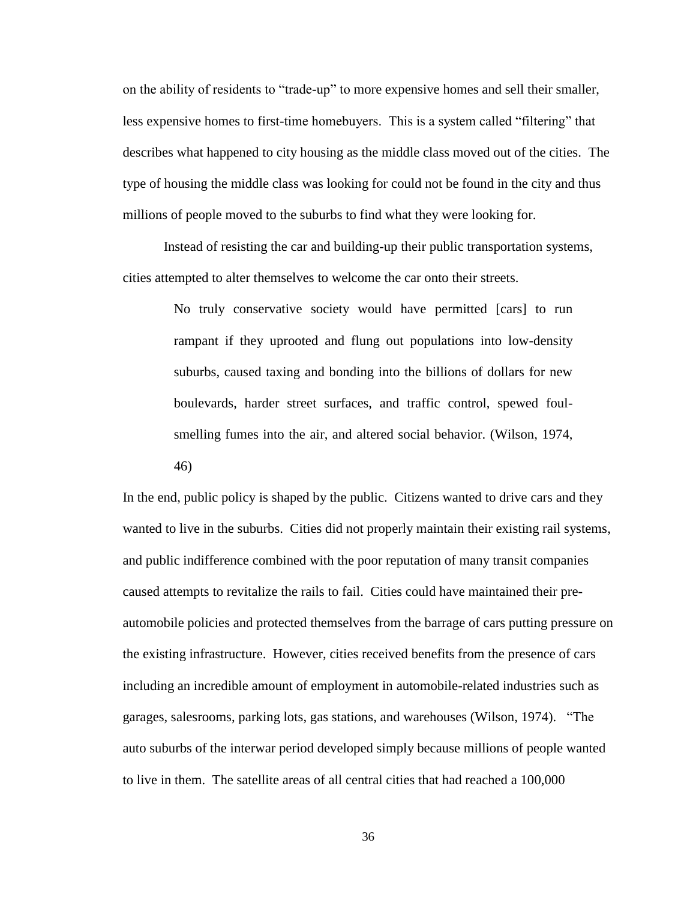on the ability of residents to "trade-up" to more expensive homes and sell their smaller, less expensive homes to first-time homebuyers. This is a system called "filtering" that describes what happened to city housing as the middle class moved out of the cities. The type of housing the middle class was looking for could not be found in the city and thus millions of people moved to the suburbs to find what they were looking for.

Instead of resisting the car and building-up their public transportation systems, cities attempted to alter themselves to welcome the car onto their streets.

> No truly conservative society would have permitted [cars] to run rampant if they uprooted and flung out populations into low-density suburbs, caused taxing and bonding into the billions of dollars for new boulevards, harder street surfaces, and traffic control, spewed foulsmelling fumes into the air, and altered social behavior. (Wilson, 1974,

46)

In the end, public policy is shaped by the public. Citizens wanted to drive cars and they wanted to live in the suburbs. Cities did not properly maintain their existing rail systems, and public indifference combined with the poor reputation of many transit companies caused attempts to revitalize the rails to fail. Cities could have maintained their preautomobile policies and protected themselves from the barrage of cars putting pressure on the existing infrastructure. However, cities received benefits from the presence of cars including an incredible amount of employment in automobile-related industries such as garages, salesrooms, parking lots, gas stations, and warehouses (Wilson, 1974). "The auto suburbs of the interwar period developed simply because millions of people wanted to live in them. The satellite areas of all central cities that had reached a 100,000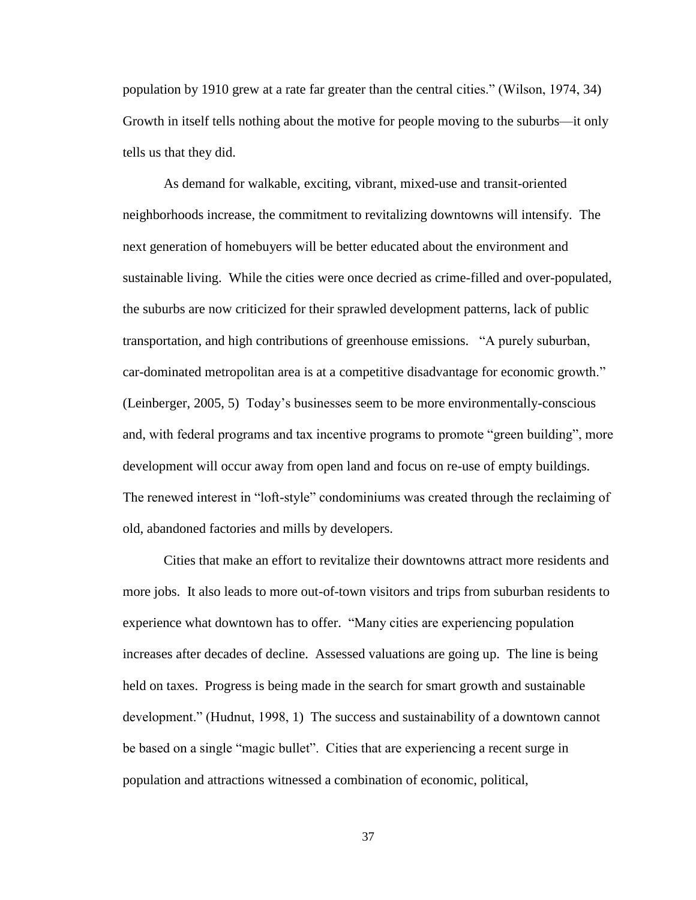population by 1910 grew at a rate far greater than the central cities." (Wilson, 1974, 34) Growth in itself tells nothing about the motive for people moving to the suburbs—it only tells us that they did.

As demand for walkable, exciting, vibrant, mixed-use and transit-oriented neighborhoods increase, the commitment to revitalizing downtowns will intensify. The next generation of homebuyers will be better educated about the environment and sustainable living. While the cities were once decried as crime-filled and over-populated, the suburbs are now criticized for their sprawled development patterns, lack of public transportation, and high contributions of greenhouse emissions. "A purely suburban, car-dominated metropolitan area is at a competitive disadvantage for economic growth." (Leinberger, 2005, 5) Today"s businesses seem to be more environmentally-conscious and, with federal programs and tax incentive programs to promote "green building", more development will occur away from open land and focus on re-use of empty buildings. The renewed interest in "loft-style" condominiums was created through the reclaiming of old, abandoned factories and mills by developers.

Cities that make an effort to revitalize their downtowns attract more residents and more jobs. It also leads to more out-of-town visitors and trips from suburban residents to experience what downtown has to offer. "Many cities are experiencing population increases after decades of decline. Assessed valuations are going up. The line is being held on taxes. Progress is being made in the search for smart growth and sustainable development." (Hudnut, 1998, 1) The success and sustainability of a downtown cannot be based on a single "magic bullet". Cities that are experiencing a recent surge in population and attractions witnessed a combination of economic, political,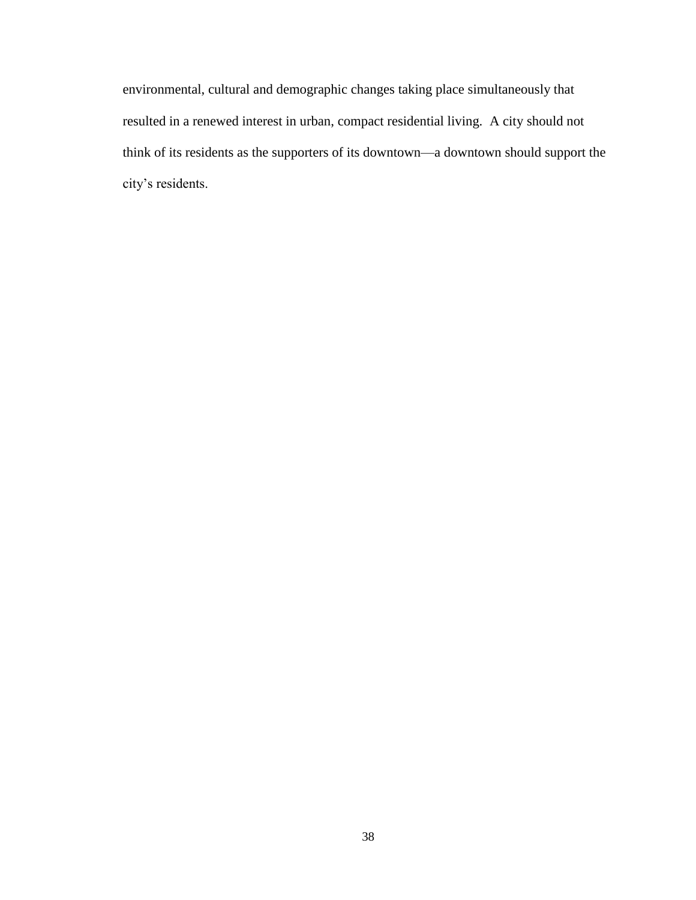environmental, cultural and demographic changes taking place simultaneously that resulted in a renewed interest in urban, compact residential living. A city should not think of its residents as the supporters of its downtown—a downtown should support the city's residents.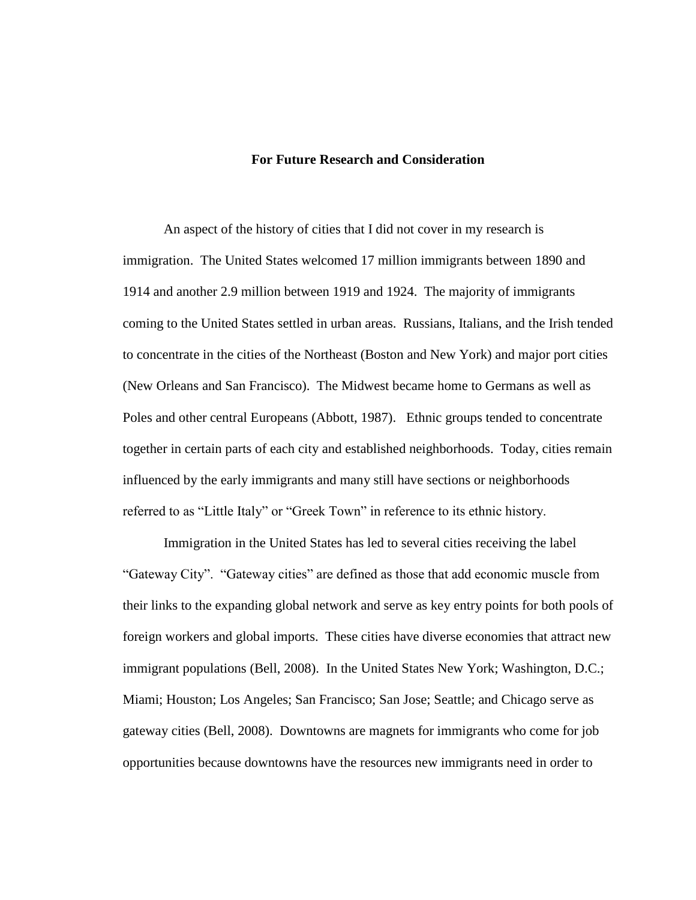#### **For Future Research and Consideration**

An aspect of the history of cities that I did not cover in my research is immigration. The United States welcomed 17 million immigrants between 1890 and 1914 and another 2.9 million between 1919 and 1924. The majority of immigrants coming to the United States settled in urban areas. Russians, Italians, and the Irish tended to concentrate in the cities of the Northeast (Boston and New York) and major port cities (New Orleans and San Francisco). The Midwest became home to Germans as well as Poles and other central Europeans (Abbott, 1987). Ethnic groups tended to concentrate together in certain parts of each city and established neighborhoods. Today, cities remain influenced by the early immigrants and many still have sections or neighborhoods referred to as "Little Italy" or "Greek Town" in reference to its ethnic history.

Immigration in the United States has led to several cities receiving the label "Gateway City". "Gateway cities" are defined as those that add economic muscle from their links to the expanding global network and serve as key entry points for both pools of foreign workers and global imports. These cities have diverse economies that attract new immigrant populations (Bell, 2008). In the United States New York; Washington, D.C.; Miami; Houston; Los Angeles; San Francisco; San Jose; Seattle; and Chicago serve as gateway cities (Bell, 2008). Downtowns are magnets for immigrants who come for job opportunities because downtowns have the resources new immigrants need in order to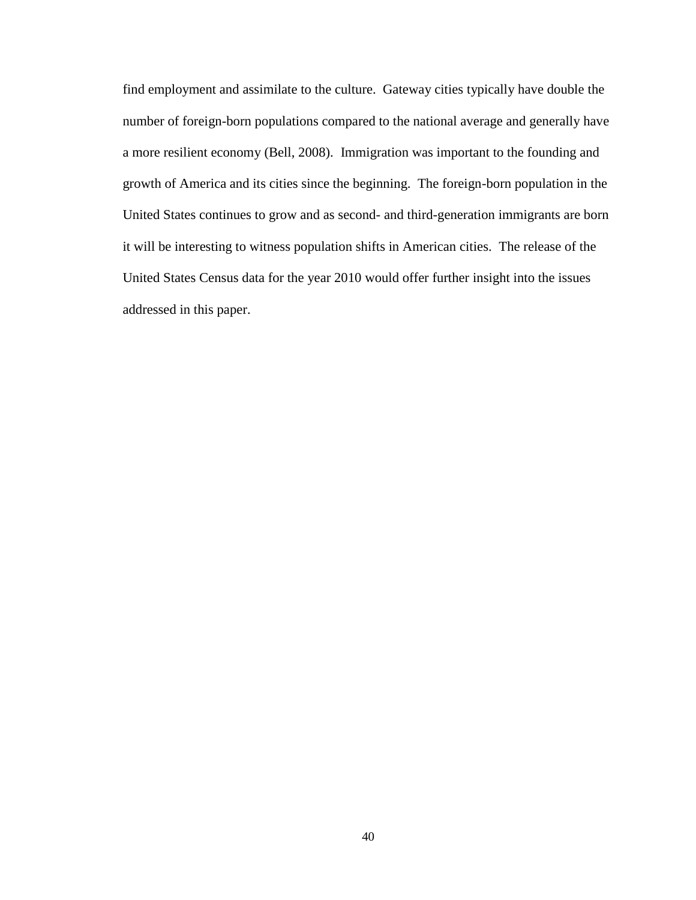find employment and assimilate to the culture. Gateway cities typically have double the number of foreign-born populations compared to the national average and generally have a more resilient economy (Bell, 2008). Immigration was important to the founding and growth of America and its cities since the beginning. The foreign-born population in the United States continues to grow and as second- and third-generation immigrants are born it will be interesting to witness population shifts in American cities. The release of the United States Census data for the year 2010 would offer further insight into the issues addressed in this paper.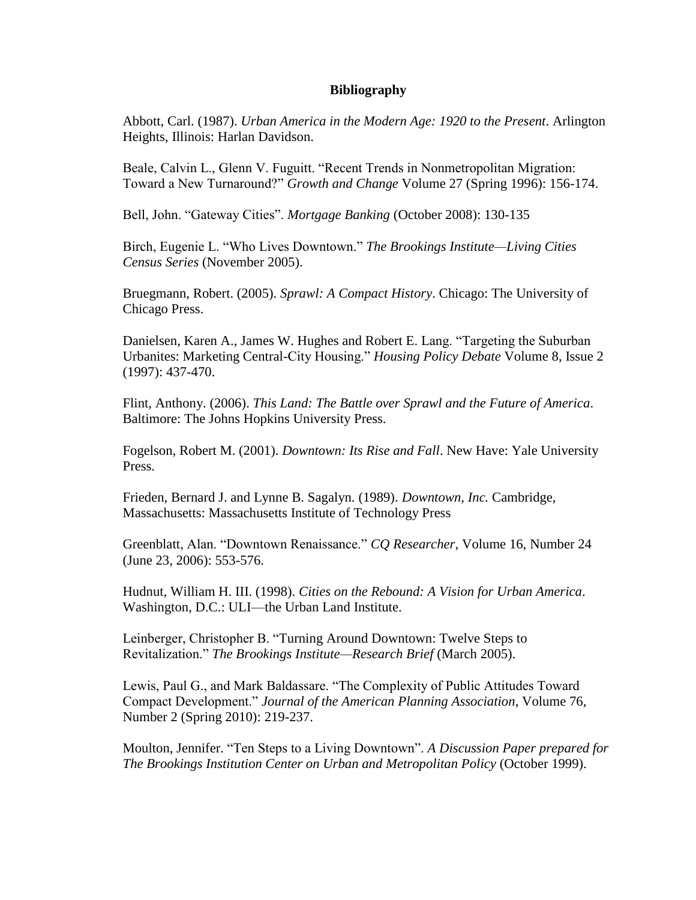## **Bibliography**

Abbott, Carl. (1987). *Urban America in the Modern Age: 1920 to the Present*. Arlington Heights, Illinois: Harlan Davidson.

Beale, Calvin L., Glenn V. Fuguitt. "Recent Trends in Nonmetropolitan Migration: Toward a New Turnaround?" *Growth and Change* Volume 27 (Spring 1996): 156-174.

Bell, John. "Gateway Cities". *Mortgage Banking* (October 2008): 130-135

Birch, Eugenie L. "Who Lives Downtown." *The Brookings Institute—Living Cities Census Series* (November 2005).

Bruegmann, Robert. (2005). *Sprawl: A Compact History*. Chicago: The University of Chicago Press.

Danielsen, Karen A., James W. Hughes and Robert E. Lang. "Targeting the Suburban Urbanites: Marketing Central-City Housing." *Housing Policy Debate* Volume 8, Issue 2 (1997): 437-470.

Flint, Anthony. (2006). *This Land: The Battle over Sprawl and the Future of America*. Baltimore: The Johns Hopkins University Press.

Fogelson, Robert M. (2001). *Downtown: Its Rise and Fall*. New Have: Yale University Press.

Frieden, Bernard J. and Lynne B. Sagalyn. (1989). *Downtown, Inc.* Cambridge, Massachusetts: Massachusetts Institute of Technology Press

Greenblatt, Alan. "Downtown Renaissance." *CQ Researcher*, Volume 16, Number 24 (June 23, 2006): 553-576.

Hudnut, William H. III. (1998). *Cities on the Rebound: A Vision for Urban America*. Washington, D.C.: ULI—the Urban Land Institute.

Leinberger, Christopher B. "Turning Around Downtown: Twelve Steps to Revitalization." *The Brookings Institute—Research Brief* (March 2005).

Lewis, Paul G., and Mark Baldassare. "The Complexity of Public Attitudes Toward Compact Development." *Journal of the American Planning Association*, Volume 76, Number 2 (Spring 2010): 219-237.

Moulton, Jennifer. "Ten Steps to a Living Downtown". *A Discussion Paper prepared for The Brookings Institution Center on Urban and Metropolitan Policy* (October 1999).